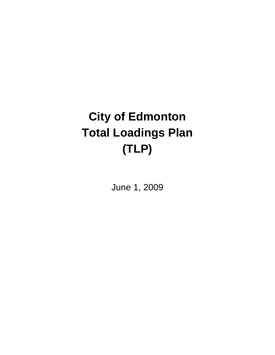# **City of Edmonton Total Loadings Plan (TLP)**

June 1, 2009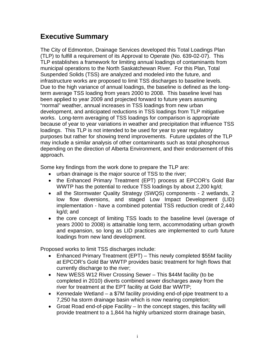# **Executive Summary**

The City of Edmonton, Drainage Services developed this Total Loadings Plan (TLP) to fulfill a requirement of its Approval to Operate (No. 639-02-07). This TLP establishes a framework for limiting annual loadings of contaminants from municipal operations to the North Saskatchewan River. For this Plan, Total Suspended Solids (TSS) are analyzed and modeled into the future, and infrastructure works are proposed to limit TSS discharges to baseline levels. Due to the high variance of annual loadings, the baseline is defined as the longterm average TSS loading from years 2000 to 2008. This baseline level has been applied to year 2009 and projected forward to future years assuming "normal" weather, annual increases in TSS loadings from new urban development, and anticipated reductions in TSS loadings from TLP mitigative works. Long-term averaging of TSS loadings for comparison is appropriate because of year to year variations in weather and precipitation that influence TSS loadings. This TLP is not intended to be used for year to year regulatory purposes but rather for showing trend improvements. Future updates of the TLP may include a similar analysis of other contaminants such as total phosphorous depending on the direction of Alberta Environment, and their endorsement of this approach.

Some key findings from the work done to prepare the TLP are:

- urban drainage is the major source of TSS to the river;
- the Enhanced Primary Treatment (EPT) process at EPCOR's Gold Bar WWTP has the potential to reduce TSS loadings by about 2,200 kg/d;
- all the Stormwater Quality Strategy (SWQS) components 2 wetlands, 2 low flow diversions, and staged Low Impact Development (LID) implementation - have a combined potential TSS reduction credit of 2,440 kg/d; and
- the core concept of limiting TSS loads to the baseline level (average of years 2000 to 2008) is attainable long term, accommodating urban growth and expansion, so long as LID practices are implemented to curb future loadings from new land development.

Proposed works to limit TSS discharges include:

- Enhanced Primary Treatment (EPT) This newly completed \$55M facility at EPCOR's Gold Bar WWTP provides basic treatment for high flows that currently discharge to the river;
- New WESS W12 River Crossing Sewer This \$44M facility (to be completed in 2010) diverts combined sewer discharges away from the river for treatment at the EPT facility at Gold Bar WWTP;
- Kennedale Wetland a \$7M facility providing end-of-pipe treatment to a 7,250 ha storm drainage basin which is now nearing completion;
- Groat Road end-of-pipe Facility In the concept stages, this facility will provide treatment to a 1,844 ha highly urbanized storm drainage basin,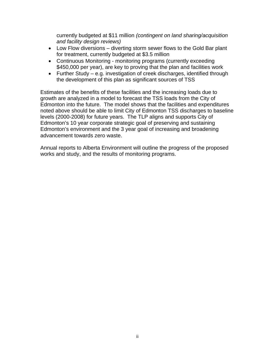currently budgeted at \$11 million *(contingent on land sharing/acquisition and facility design reviews)*

- Low Flow diversions diverting storm sewer flows to the Gold Bar plant for treatment, currently budgeted at \$3.5 million
- Continuous Monitoring monitoring programs (currently exceeding \$450,000 per year), are key to proving that the plan and facilities work
- Further Study e.g. investigation of creek discharges, identified through the development of this plan as significant sources of TSS

Estimates of the benefits of these facilities and the increasing loads due to growth are analyzed in a model to forecast the TSS loads from the City of Edmonton into the future. The model shows that the facilities and expenditures noted above should be able to limit City of Edmonton TSS discharges to baseline levels (2000-2008) for future years. The TLP aligns and supports City of Edmonton's 10 year corporate strategic goal of preserving and sustaining Edmonton's environment and the 3 year goal of increasing and broadening advancement towards zero waste.

Annual reports to Alberta Environment will outline the progress of the proposed works and study, and the results of monitoring programs.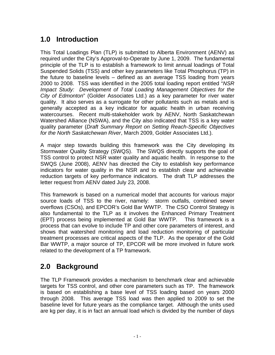# **1.0 Introduction**

This Total Loadings Plan (TLP) is submitted to Alberta Environment (AENV) as required under the City's Approval-to-Operate by June 1, 2009. The fundamental principle of the TLP is to establish a framework to limit annual loadings of Total Suspended Solids (TSS) and other key parameters like Total Phosphorus (TP) in the future to baseline levels – defined as an average TSS loading from years 2000 to 2008. TSS was identified in the 2005 total loading report entitled "*NSR Impact Study: Development of Total Loading Management Objectives for the City of Edmonton*" (Golder Associates Ltd.) as a key parameter for river water quality. It also serves as a surrogate for other pollutants such as metals and is generally accepted as a key indicator for aquatic health in urban receiving watercourses. Recent multi-stakeholder work by AENV, North Saskatchewan Watershed Alliance (NSWA), and the City also indicated that TSS is a key water quality parameter (*Draft Summary Report on Setting Reach-Specific Objectives for the North Saskatchewan River*, March 2009, Golder Associates Ltd.).

A major step towards building this framework was the City developing its Stormwater Quality Strategy (SWQS). The SWQS directly supports the goal of TSS control to protect NSR water quality and aquatic health. In response to the SWQS (June 2008), AENV has directed the City to establish key performance indicators for water quality in the NSR and to establish clear and achievable reduction targets of key performance indicators. The draft TLP addresses the letter request from AENV dated July 23, 2008.

This framework is based on a numerical model that accounts for various major source loads of TSS to the river, namely: storm outfalls, combined sewer overflows (CSOs), and EPCOR's Gold Bar WWTP. The CSO Control Strategy is also fundamental to the TLP as it involves the Enhanced Primary Treatment (EPT) process being implemented at Gold Bar WWTP. This framework is a process that can evolve to include TP and other core parameters of interest, and shows that watershed monitoring and load reduction monitoring of particular treatment processes are critical aspects of the TLP. As the operator of the Gold Bar WWTP, a major source of TP, EPCOR will be more involved in future work related to the development of a TP framework.

# **2.0 Background**

The TLP Framework provides a mechanism to benchmark clear and achievable targets for TSS control, and other core parameters such as TP. The framework is based on establishing a base level of TSS loading based on years 2000 through 2008. This average TSS load was then applied to 2009 to set the baseline level for future years as the compliance target. Although the units used are kg per day, it is in fact an annual load which is divided by the number of days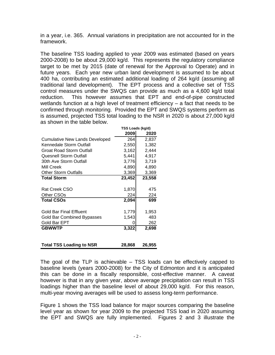in a year, i.e. 365. Annual variations in precipitation are not accounted for in the framework.

The baseline TSS loading applied to year 2009 was estimated (based on years 2000-2008) to be about 29,000 kg/d. This represents the regulatory compliance target to be met by 2015 (date of renewal for the Approval to Operate) and in future years. Each year new urban land development is assumed to be about 400 ha, contributing an estimated additional loading of 264 kg/d (assuming all traditional land development). The EPT process and a collective set of TSS control measures under the SWQS can provide as much as a 4,600 kg/d total reduction. This however assumes that EPT and end-of-pipe constructed wetlands function at a high level of treatment efficiency – a fact that needs to be confirmed through monitoring. Provided the EPT and SWQS systems perform as is assumed, projected TSS total loading to the NSR in 2020 is about 27,000 kg/d as shown in the table below.

|                                       | TSS Loads (kg/d) |        |
|---------------------------------------|------------------|--------|
|                                       | 2009             | 2020   |
| <b>Cumulative New Lands Developed</b> | 264              | 2,837  |
| Kennedale Storm Outfall               | 2,550            | 1,382  |
| Groat Road Storm Outfall              | 3,162            | 2,444  |
| <b>Quesnell Storm Outfall</b>         | 5,441            | 4,917  |
| 30th Ave Storm Outfall                | 3,776            | 3,719  |
| Mill Creek                            | 4,890            | 4,890  |
| <b>Other Storm Outfalls</b>           | 3,369            | 3,369  |
| <b>Total Storm</b>                    | 23,452           | 23,558 |
|                                       |                  |        |
| Rat Creek CSO                         | 1,870            | 475    |
| Other CSOs                            | 224              | 224    |
| <b>Total CSOs</b>                     | 2,094            | 699    |
|                                       |                  |        |
| <b>Gold Bar Final Effluent</b>        | 1,779            | 1,953  |
| <b>Gold Bar Combined Bypasses</b>     | 1,543            | 483    |
| Gold Bar EPT                          | Ω                | 262    |
| <b>GBWWTP</b>                         | 3,322            | 2,698  |
|                                       |                  |        |
|                                       |                  |        |
| <b>Total TSS Loading to NSR</b>       | 28.868           | 26.955 |

The goal of the TLP is achievable – TSS loads can be effectively capped to baseline levels (years 2000-2008) for the City of Edmonton and it is anticipated this can be done in a fiscally responsible, cost-effective manner. A caveat however is that in any given year, above average precipitation can result in TSS loadings higher than the baseline level of about 29,000 kg/d. For this reason, multi-year moving averages will be used to assess long-term performance.

Figure 1 shows the TSS load balance for major sources comparing the baseline level year as shown for year 2009 to the projected TSS load in 2020 assuming the EPT and SWQS are fully implemented. Figures 2 and 3 illustrate the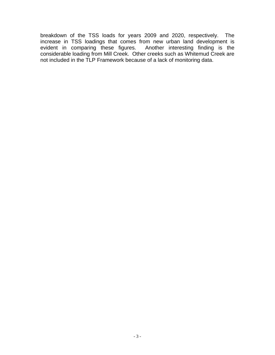breakdown of the TSS loads for years 2009 and 2020, respectively. The increase in TSS loadings that comes from new urban land development is evident in comparing these figures. Another interesting finding is the considerable loading from Mill Creek. Other creeks such as Whitemud Creek are not included in the TLP Framework because of a lack of monitoring data.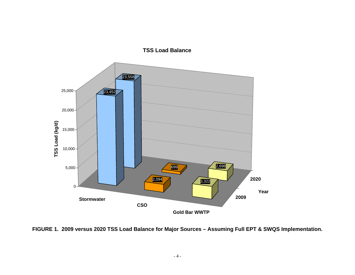

**FIGURE 1. 2009 versus 2020 TSS Load Balance for Major Sources – Assuming Full EPT & SWQS Implementation.**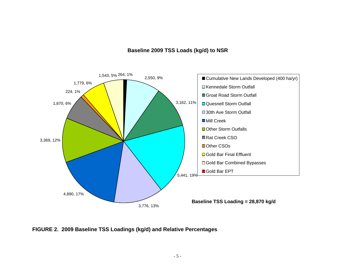#### **Baseline 2009 TSS Loads (kg/d) to NSR**



**FIGURE 2. 2009 Baseline TSS Loadings (kg/d) and Relative Percentages**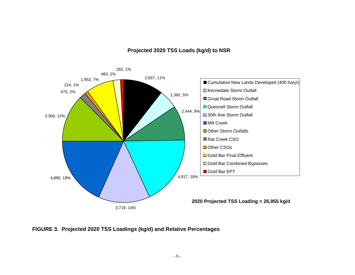#### **Projected 2020 TSS Loads (kg/d) to NSR**



**FIGURE 3. Projected 2020 TSS Loadings (kg/d) and Relative Percentages**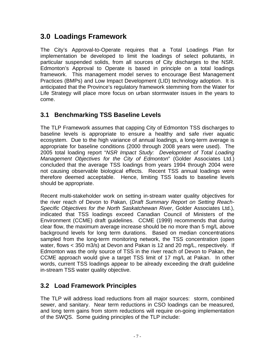# **3.0 Loadings Framework**

The City's Approval-to-Operate requires that a Total Loadings Plan for implementation be developed to limit the loadings of select pollutants, in particular suspended solids, from all sources of City discharges to the NSR. Edmonton's Approval to Operate is based in principle on a total loadings framework. This management model serves to encourage Best Management Practices (BMPs) and Low Impact Development (LID) technology adoption. It is anticipated that the Province's regulatory framework stemming from the Water for Life Strategy will place more focus on urban stormwater issues in the years to come.

## **3.1 Benchmarking TSS Baseline Levels**

The TLP Framework assumes that capping City of Edmonton TSS discharges to baseline levels is appropriate to ensure a healthy and safe river aquatic ecosystem. Due to the high variance of annual loadings, a long-term average is appropriate for baseline conditions (2000 through 2008 years were used). The 2005 total loading report "*NSR Impact Study: Development of Total Loading Management Objectives for the City of Edmonton*" (Golder Associates Ltd.) concluded that the average TSS loadings from years 1994 through 2004 were not causing observable biological effects. Recent TSS annual loadings were therefore deemed acceptable. Hence, limiting TSS loads to baseline levels should be appropriate.

Recent multi-stakeholder work on setting in-stream water quality objectives for the river reach of Devon to Pakan, (*Draft Summary Report on Setting Reach-Specific Objectives for the North Saskatchewan River*, Golder Associates Ltd.), indicated that TSS loadings exceed Canadian Council of Ministers of the Environment (CCME) draft guidelines. CCME (1999) recommends that during clear flow, the maximum average increase should be no more than 5 mg/L above background levels for long term durations. Based on median concentrations sampled from the long-term monitoring network, the TSS concentration (open water, flows < 350 m3/s) at Devon and Pakan is 12 and 20 mg/L, respectively. If Edmonton was the only source of TSS in the river reach of Devon to Pakan, the CCME approach would give a target TSS limit of 17 mg/L at Pakan. In other words, current TSS loadings appear to be already exceeding the draft guideline in-stream TSS water quality objective.

# **3.2 Load Framework Principles**

The TLP will address load reductions from all major sources: storm, combined sewer, and sanitary. Near term reductions in CSO loadings can be measured, and long term gains from storm reductions will require on-going implementation of the SWQS. Some guiding principles of the TLP include: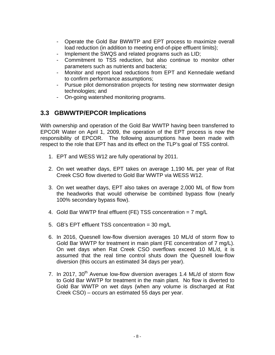- Operate the Gold Bar BWWTP and EPT process to maximize overall load reduction (in addition to meeting end-of-pipe effluent limits);
- Implement the SWQS and related programs such as LID;
- Commitment to TSS reduction, but also continue to monitor other parameters such as nutrients and bacteria;
- Monitor and report load reductions from EPT and Kennedale wetland to confirm performance assumptions;
- Pursue pilot demonstration projects for testing new stormwater design technologies; and
- On-going watershed monitoring programs.

## **3.3 GBWWTP/EPCOR Implications**

With ownership and operation of the Gold Bar WWTP having been transferred to EPCOR Water on April 1, 2009, the operation of the EPT process is now the responsibility of EPCOR. The following assumptions have been made with respect to the role that EPT has and its effect on the TLP's goal of TSS control.

- 1. EPT and WESS W12 are fully operational by 2011.
- 2. On wet weather days, EPT takes on average 1,190 ML per year of Rat Creek CSO flow diverted to Gold Bar WWTP via WESS W12.
- 3. On wet weather days, EPT also takes on average 2,000 ML of flow from the headworks that would otherwise be combined bypass flow (nearly 100% secondary bypass flow).
- 4. Gold Bar WWTP final effluent (FE) TSS concentration = 7 mg/L
- 5. GB's EPT effluent TSS concentration = 30 mg/L
- 6. In 2016, Quesnell low-flow diversion averages 10 ML/d of storm flow to Gold Bar WWTP for treatment in main plant (FE concentration of 7 mg/L). On wet days when Rat Creek CSO overflows exceed 10 ML/d, it is assumed that the real time control shuts down the Quesnell low-flow diversion (this occurs an estimated 34 days per year).
- 7. In 2017, 30<sup>th</sup> Avenue low-flow diversion averages 1.4 ML/d of storm flow to Gold Bar WWTP for treatment in the main plant. No flow is diverted to Gold Bar WWTP on wet days (when any volume is discharged at Rat Creek CSO) – occurs an estimated 55 days per year.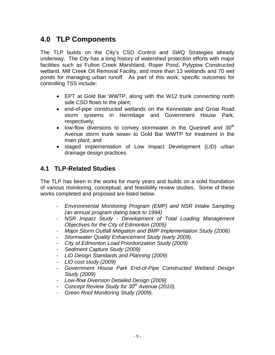# **4.0 TLP Components**

The TLP builds on the City's CSO Control and SWQ Strategies already underway. The City has a long history of watershed protection efforts with major facilities such as Fulton Creek Marshland, Roper Pond, Pylypow Constructed wetland, Mill Creek Oil Removal Facility, and more than 13 wetlands and 70 wet ponds for managing urban runoff. As part of this work, specific outcomes for controlling TSS include:

- EPT at Gold Bar WWTP, along with the W12 trunk connecting north side CSO flows to the plant;
- end-of-pipe constructed wetlands on the Kennedale and Groat Road storm systems in Hermitage and Government House Park, respectively;
- $\bullet$  low-flow diversions to convey stormwater in the Quesnell and 30<sup>th</sup> Avenue storm trunk sewer to Gold Bar WWTP for treatment in the main plant; and
- staged implementation of Low Impact Development (LID) urban drainage design practices.

## **4.1 TLP-Related Studies**

The TLP has been in the works for many years and builds on a solid foundation of various monitoring, conceptual, and feasibility review studies. Some of these works completed and proposed are listed below.

- *Environmental Monitoring Program (EMP) and NSR Intake Sampling (an annual program dating back to 1994)*
- *NSR Impact Study Development of Total Loading Management Objectives for the City of Edmonton (2005)*
- *Major Storm Outfall Mitigation and BMP Implementation Study (2006)*
- *Stormwater Quality Enhancement Study (early 2009).*
- *City of Edmonton Load Prioritorization Study (2009)*
- *Sediment Capture Study (2009)*
- *LID Design Standards and Planning (2009)*
- *LID cost study (2009)*
- *Government House Park End-of-Pipe Constructed Wetland Design Study (2009)*
- *Low-flow Diversion Detailed Design (2009)*
- *Concept Review Study for 30<sup>th</sup> Avenue (2010).*
- *Green Roof Monitoring Study (2009).*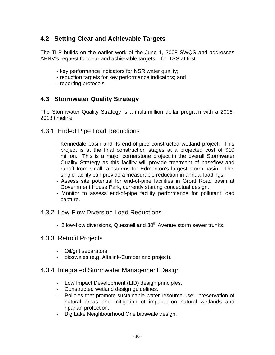# **4.2 Setting Clear and Achievable Targets**

The TLP builds on the earlier work of the June 1, 2008 SWQS and addresses AENV's request for clear and achievable targets – for TSS at first:

- key performance indicators for NSR water quality;
- reduction targets for key performance indicators; and
- reporting protocols.

## **4.3 Stormwater Quality Strategy**

The Stormwater Quality Strategy is a multi-million dollar program with a 2006- 2018 timeline.

- 4.3.1 End-of Pipe Load Reductions
	- Kennedale basin and its end-of-pipe constructed wetland project. This project is at the final construction stages at a projected cost of \$10 million. This is a major cornerstone project in the overall Stormwater Quality Strategy as this facility will provide treatment of baseflow and runoff from small rainstorms for Edmonton's largest storm basin. This single facility can provide a measurable reduction in annual loadings.
	- Assess site potential for end-of-pipe facilities in Groat Road basin at Government House Park, currently starting conceptual design.
	- Monitor to assess end-of-pipe facility performance for pollutant load capture.
- 4.3.2 Low-Flow Diversion Load Reductions
	- 2 low-flow diversions, Quesnell and 30<sup>th</sup> Avenue storm sewer trunks.
- 4.3.3 Retrofit Projects
	- Oil/grit separators.
	- bioswales (e.g. Altalink-Cumberland project).
- 4.3.4 Integrated Stormwater Management Design
	- Low Impact Development (LID) design principles.
	- Constructed wetland design guidelines.
	- Policies that promote sustainable water resource use: preservation of natural areas and mitigation of impacts on natural wetlands and riparian protection.
	- Big Lake Neighbourhood One bioswale design.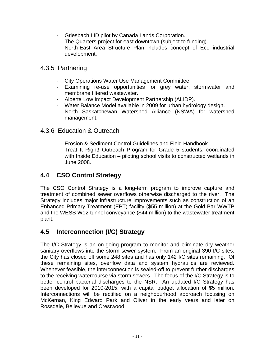- Griesbach LID pilot by Canada Lands Corporation.
- The Quarters project for east downtown (subject to funding).
- North-East Area Structure Plan includes concept of Eco industrial development.

### 4.3.5 Partnering

- City Operations Water Use Management Committee.
- Examining re-use opportunities for grey water, stormwater and membrane filtered wastewater.
- Alberta Low Impact Development Partnership (ALIDP).
- Water Balance Model available in 2009 for urban hydrology design.
- North Saskatchewan Watershed Alliance (NSWA) for watershed management.
- 4.3.6 Education & Outreach
	- Erosion & Sediment Control Guidelines and Field Handbook
	- Treat It Right! Outreach Program for Grade 5 students, coordinated with Inside Education – piloting school visits to constructed wetlands in June 2008.

### **4.4 CSO Control Strategy**

The CSO Control Strategy is a long-term program to improve capture and treatment of combined sewer overflows otherwise discharged to the river. The Strategy includes major infrastructure improvements such as construction of an Enhanced Primary Treatment (EPT) facility (\$55 million) at the Gold Bar WWTP and the WESS W12 tunnel conveyance (\$44 million) to the wastewater treatment plant.

### **4.5 Interconnection (I/C) Strategy**

The I/C Strategy is an on-going program to monitor and eliminate dry weather sanitary overflows into the storm sewer system. From an original 390 I/C sites, the City has closed off some 248 sites and has only 142 I/C sites remaining. Of these remaining sites, overflow data and system hydraulics are reviewed. Whenever feasible, the interconnection is sealed-off to prevent further discharges to the receiving watercourse via storm sewers. The focus of the I/C Strategy is to better control bacterial discharges to the NSR. An updated I/C Strategy has been developed for 2010-2015, with a capital budget allocation of \$5 million. Interconnections will be rectified on a neighbourhood approach focusing on McKernan, King Edward Park and Oliver in the early years and later on Rossdale, Bellevue and Crestwood.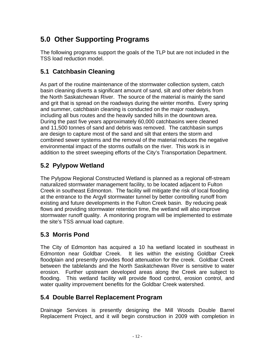# **5.0 Other Supporting Programs**

The following programs support the goals of the TLP but are not included in the TSS load reduction model.

# **5.1 Catchbasin Cleaning**

As part of the routine maintenance of the stormwater collection system, catch basin cleaning diverts a significant amount of sand, silt and other debris from the North Saskatchewan River. The source of the material is mainly the sand and grit that is spread on the roadways during the winter months. Every spring and summer, catchbasin cleaning is conducted on the major roadways, including all bus routes and the heavily sanded hills in the downtown area. During the past five years approximately 60,000 catchbasins were cleaned and 11,500 tonnes of sand and debris was removed. The catchbasin sumps are design to capture most of the sand and silt that enters the storm and combined sewer systems and the removal of the material reduces the negative environmental impact of the storms outfalls on the river. This work is in addition to the street sweeping efforts of the City's Transportation Department.

# **5.2 Pylypow Wetland**

The Pylypow Regional Constructed Wetland is planned as a regional off-stream naturalized stormwater management facility, to be located adjacent to Fulton Creek in southeast Edmonton. The facility will mitigate the risk of local flooding at the entrance to the Argyll stormwater tunnel by better controlling runoff from existing and future developments in the Fulton Creek basin. By reducing peak flows and providing stormwater retention time, the wetland will also improve stormwater runoff quality. A monitoring program will be implemented to estimate the site's TSS annual load capture.

# **5.3 Morris Pond**

The City of Edmonton has acquired a 10 ha wetland located in southeast in Edmonton near Goldbar Creek. It lies within the existing Goldbar Creek floodplain and presently provides flood attenuation for the creek. Goldbar Creek between the tablelands and the North Saskatchewan River is sensitive to water erosion. Further upstream developed areas along the Creek are subject to flooding. This wetland facility will provide flood control, erosion control, and water quality improvement benefits for the Goldbar Creek watershed.

### **5.4 Double Barrel Replacement Program**

Drainage Services is presently designing the Mill Woods Double Barrel Replacement Project, and it will begin construction in 2009 with completion in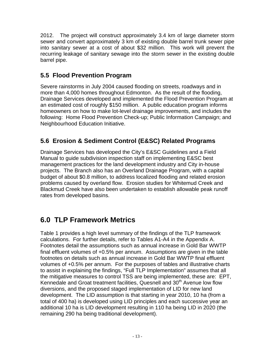2012. The project will construct approximately 3.4 km of large diameter storm sewer and convert approximately 3 km of existing double barrel trunk sewer pipe into sanitary sewer at a cost of about \$32 million. This work will prevent the recurring leakage of sanitary sewage into the storm sewer in the existing double barrel pipe.

# **5.5 Flood Prevention Program**

Severe rainstorms in July 2004 caused flooding on streets, roadways and in more than 4,000 homes throughout Edmonton. As the result of the flooding, Drainage Services developed and implemented the Flood Prevention Program at an estimated cost of roughly \$150 million. A public education program informs homeowners on how to make lot-level drainage improvements, and includes the following: Home Flood Prevention Check-up; Public Information Campaign; and Neighbourhood Education Initiative.

# **5.6 Erosion & Sediment Control (E&SC) Related Programs**

Drainage Services has developed the City's E&SC Guidelines and a Field Manual to guide subdivision inspection staff on implementing E&SC best management practices for the land development industry and City in-house projects. The Branch also has an Overland Drainage Program, with a capital budget of about \$0.8 million, to address localized flooding and related erosion problems caused by overland flow. Erosion studies for Whitemud Creek and Blackmud Creek have also been undertaken to establish allowable peak runoff rates from developed basins.

# **6.0 TLP Framework Metrics**

Table 1 provides a high level summary of the findings of the TLP framework calculations. For further details, refer to Tables A1-A4 in the Appendix A. Footnotes detail the assumptions such as annual increase in Gold Bar WWTP final effluent volumes of +0.5% per annum. Assumptions are given in the table footnotes on details such as annual increase in Gold Bar WWTP final effluent volumes of +0.5% per annum. For the purposes of tables and illustrative charts to assist in explaining the findings, "Full TLP Implementation" assumes that all the mitigative measures to control TSS are being implemented, these are: EPT, Kennedale and Groat treatment facilities, Quesnell and 30<sup>th</sup> Avenue low flow diversions, and the proposed staged implementation of LID for new land development. The LID assumption is that starting in year 2010, 10 ha (from a total of 400 ha) is developed using LID principles and each successive year an additional 10 ha is LID development resulting in 110 ha being LID in 2020 (the remaining 290 ha being traditional development).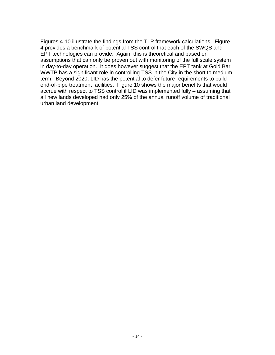Figures 4-10 illustrate the findings from the TLP framework calculations. Figure 4 provides a benchmark of potential TSS control that each of the SWQS and EPT technologies can provide. Again, this is theoretical and based on assumptions that can only be proven out with monitoring of the full scale system in day-to-day operation. It does however suggest that the EPT tank at Gold Bar WWTP has a significant role in controlling TSS in the City in the short to medium term. Beyond 2020, LID has the potential to defer future requirements to build end-of-pipe treatment facilities. Figure 10 shows the major benefits that would accrue with respect to TSS control if LID was implemented fully – assuming that all new lands developed had only 25% of the annual runoff volume of traditional urban land development.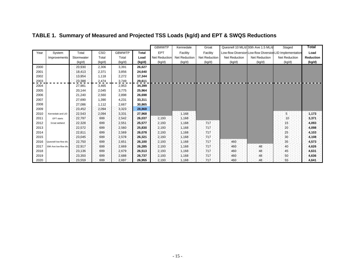|      |                        |            |        |               |              | <b>GBWWTP</b>        | Kennedale            | Groat                |               | Quesnell 10 ML/d 30th Ave 1.5 ML/d | Staged                                                   | Total     |
|------|------------------------|------------|--------|---------------|--------------|----------------------|----------------------|----------------------|---------------|------------------------------------|----------------------------------------------------------|-----------|
| Year | System                 | Total      | CSO    | <b>GBWWTP</b> | <b>Total</b> | <b>EPT</b>           | Facility             | Facility             |               |                                    | Low-flow Diversion Low-flow Diversion LID Implementation | Load      |
|      | Improvements           | Stormwater | Total  | Total         | Load         | <b>Net Reduction</b> | <b>Net Reduction</b> | <b>Net Reduction</b> | Net Reduction | <b>Net Reduction</b>               | Net Reduction                                            | Reduction |
|      |                        | (kg/d)     | (kg/d) | (kg/d)        | (kg/d)       | (kg/d)               | (kg/d)               | (kg/d)               | (kg/d)        | (kg/d)                             | (kg/d)                                                   | (kg/d)    |
| 2000 |                        | 20,930     | 2,306  | 3,391         | 26,627       |                      |                      |                      |               |                                    |                                                          |           |
| 2001 |                        | 18,413     | 2,371  | 3,856         | 24,640       |                      |                      |                      |               |                                    |                                                          |           |
| 2002 |                        | 13,954     | 1,118  | 2,272         | 17,344       |                      |                      |                      |               |                                    |                                                          |           |
| 2003 |                        | 23,388     | 2,474  | 3,749         | 29,611       |                      |                      |                      |               |                                    |                                                          |           |
| 2004 |                        | 27,981     | 3,465  | 2,953         | 34,399       |                      |                      |                      |               |                                    |                                                          |           |
| 2005 |                        | 20,144     | 2,045  | 3,775         | 25,964       |                      |                      |                      |               |                                    |                                                          |           |
| 2006 |                        | 21,240     | 2,560  | 2,898         | 26,698       |                      |                      |                      |               |                                    |                                                          |           |
| 2007 |                        | 27,690     | 1,390  | 4,231         | 33,311       |                      |                      |                      |               |                                    |                                                          |           |
| 2008 |                        | 27,086     | 1,112  | 2,667         | 30,865       |                      |                      |                      |               |                                    |                                                          |           |
| 2009 |                        | 23,452     | 2,094  | 3,323         | 28,868       |                      |                      |                      |               |                                    |                                                          |           |
| 2010 | Kennedale and LID      | 22,543     | 2,094  | 3,331         | 27,968       |                      | 1,168                |                      |               |                                    | $5 \overline{3}$                                         | 1,173     |
| 2011 | EPT starts             | 22,797     | :699   | 2,542         | 26,037       | 2,193                | 1,168                |                      |               |                                    | $10 -$                                                   | 3,371     |
| 2012 | Groat wetland          | 22,328     | 699    | 2,551         | 25,577       | 2,193                | 1,168                | 717                  |               |                                    | :15                                                      | 4,093     |
| 2013 |                        | 22,572     | 699    | 2,560         | 25,830       | 2,193                | 1,168                | 717                  |               |                                    | 20                                                       | 4,098     |
| 2014 |                        | 22,811     | 699    | 2,569         | 26,078       | 2,193                | 1,168                | 717                  |               |                                    | $-25$                                                    | 4,103     |
| 2015 |                        | 23,045     | 699    | 2,578         | 26,321       | 2,193                | 1,168                | 717                  |               |                                    | 30                                                       | 4,108     |
| 2016 | Quesnell low-flow div. | 22,750     | 699    | 2,651         | 26,100       | 2,193.               | 1,168                | 717                  | 460           |                                    | $35\,$                                                   | 4,573     |
| 2017 | 30th Ave low-flow div. | 22,917     | 699    | 2,669         | 26,285       | 2,193                | 1,168                | 717                  | 460.          | 48                                 | $-40$                                                    | 4,626     |
| 2018 |                        | 23,136     | 699    | 2,679         | 26,513       | 2,193                | 1,168                | 717                  | 460           | 48                                 | 45                                                       | 4,631     |
| 2019 |                        | 23,350     | 699    | 2,688         | 26,737       | 2,193                | 1,168                | .717                 | 460           | 48                                 | 50                                                       | 4,636     |
| 2020 |                        | 23,559     | 699    | 2,697         | 26,955       | 2,193                | 1,168                | 717                  | 460           | 48                                 | 55                                                       | 4,641     |

# **TABLE 1. Summary of Measured and Projected TSS Loads (kg/d) and EPT & SWQS Reductions**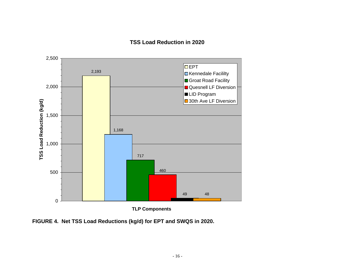#### **TSS Load Reduction in 2020**



**FIGURE 4. Net TSS Load Reductions (kg/d) for EPT and SWQS in 2020.**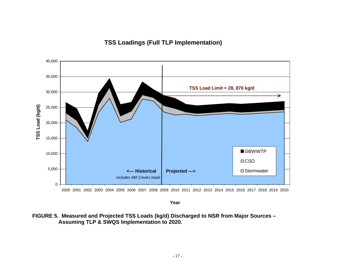## **TSS Loadings (Full TLP Implementation)**



2000 2001 2002 2003 2004 2005 2006 2007 2008 2009 2010 2011 2012 2013 2014 2015 2016 2017 2018 2019 2020

**Year**

**FIGURE 5. Measured and Projected TSS Loads (kg/d) Discharged to NSR from Major Sources – Assuming TLP & SWQS Implementation to 2020.**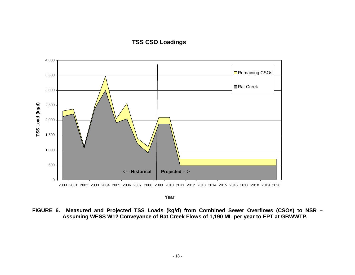#### **TSS CSO Loadings**



**Year**

**FIGURE 6. Measured and Projected TSS Loads (kg/d) from Combined Sewer Overflows (CSOs) to NSR – Assuming WESS W12 Conveyance of Rat Creek Flows of 1,190 ML per year to EPT at GBWWTP.**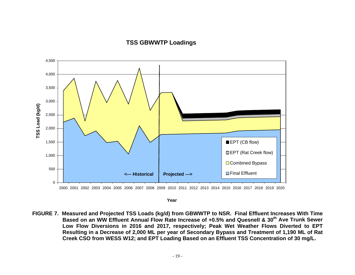#### **TSS GBWWTP Loadings**



**Year**

**FIGURE 7. Measured and Projected TSS Loads (kg/d) from GBWWTP to NSR. Final Effluent Increases With Time Based on an WW Effluent Annual Flow Rate Increase of +0.5% and Quesnell & 30th Ave Trunk Sewer Low Flow Diversions in 2016 and 2017, respectively; Peak Wet Weather Flows Diverted to EPT Resulting in a Decrease of 2,000 ML per year of Secondary Bypass and Treatment of 1,190 ML of Rat Creek CSO from WESS W12; and EPT Loading Based on an Effluent TSS Concentration of 30 mg/L.**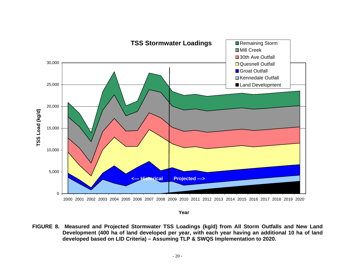

**Year**

**FIGURE 8. Measured and Projected Stormwater TSS Loadings (kg/d) from All Storm Outfalls and New Land Development (400 ha of land developed per year, with each year having an additional 10 ha of land developed based on LID Criteria) – Assuming TLP & SWQS Implementation to 2020.**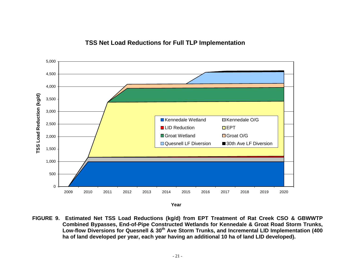#### **TSS Net Load Reductions for Full TLP Implementation**



**FIGURE 9. Estimated Net TSS Load Reductions (kg/d) from EPT Treatment of Rat Creek CSO & GBWWTP Combined Bypasses, End-of-Pipe Constructed Wetlands for Kennedale & Groat Road Storm Trunks, Low-flow Diversions for Quesnell & 30th Ave Storm Trunks, and Incremental LID Implementation (400 ha of land developed per year, each year having an additional 10 ha of land LID developed).**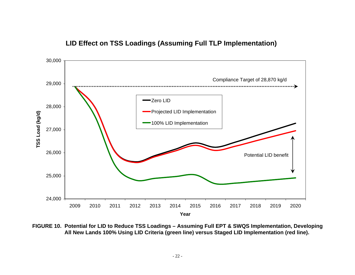

## **LID Effect on TSS Loadings (Assuming Full TLP Implementation)**

**FIGURE 10. Potential for LID to Reduce TSS Loadings – Assuming Full EPT & SWQS Implementation, Developing All New Lands 100% Using LID Criteria (green line) versus Staged LID Implementation (red line).**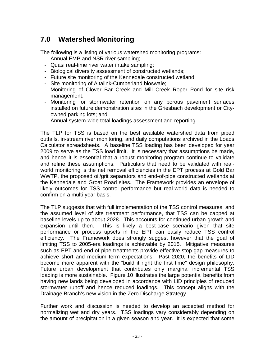# **7.0 Watershed Monitoring**

The following is a listing of various watershed monitoring programs:

- Annual EMP and NSR river sampling;
- Quasi real-time river water intake sampling;
- Biological diversity assessment of constructed wetlands;
- Future site monitoring of the Kennedale constructed wetland;
- Site monitoring of Altalink-Cumberland bioswale;
- Monitoring of Clover Bar Creek and Mill Creek Roper Pond for site risk management;
- Monitoring for stormwater retention on any porous pavement surfaces installed on future demonstration sites in the Griesbach development or Cityowned parking lots; and
- Annual system-wide total loadings assessment and reporting.

The TLP for TSS is based on the best available watershed data from piped outfalls, in-stream river monitoring, and daily computations archived in the Loads Calculator spreadsheets. A baseline TSS loading has been developed for year 2009 to serve as the TSS load limit. It is necessary that assumptions be made, and hence it is essential that a robust monitoring program continue to validate and refine these assumptions. Particulars that need to be validated with realworld monitoring is the net removal efficiencies in the EPT process at Gold Bar WWTP, the proposed oil/grit separators and end-of-pipe constructed wetlands at the Kennedale and Groat Road sites. The Framework provides an envelope of likely outcomes for TSS control performance but real-world data is needed to confirm on a multi-year basis.

The TLP suggests that with full implementation of the TSS control measures, and the assumed level of site treatment performance, that TSS can be capped at baseline levels up to about 2028. This accounts for continued urban growth and expansion until then. This is likely a best-case scenario given that site performance or process upsets in the EPT can easily reduce TSS control efficiency. The Framework does strongly suggest however that the goal of limiting TSS to 2005-era loadings is achievable by 2015. Mitigative measures such as EPT and end-of-pipe treatments provide effective stop-gap measures to achieve short and medium term expectations. Past 2020, the benefits of LID become more apparent with the "build it right the first time" design philosophy. Future urban development that contributes only marginal incremental TSS loading is more sustainable. Figure 10 illustrates the large potential benefits from having new lands being developed in accordance with LID principles of reduced stormwater runoff and hence reduced loadings. This concept aligns with the Drainage Branch's new vision in the Zero Discharge Strategy.

Further work and discussion is needed to develop an accepted method for normalizing wet and dry years. TSS loadings vary considerably depending on the amount of precipitation in a given season and year. It is expected that some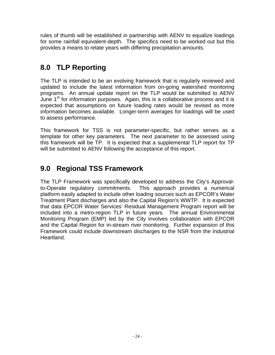rules of thumb will be established in partnership with AENV to equalize loadings for some rainfall equivalent-depth. The specifics need to be worked out but this provides a means to relate years with differing precipitation amounts.

# **8.0 TLP Reporting**

The TLP is intended to be an evolving framework that is regularly reviewed and updated to include the latest information from on-going watershed monitoring programs. An annual update report on the TLP would be submitted to AENV June  $1<sup>st</sup>$  for information purposes. Again, this is a collaborative process and it is expected that assumptions on future loading rates would be revised as more information becomes available. Longer-term averages for loadings will be used to assess performance.

This framework for TSS is not parameter-specific, but rather serves as a template for other key parameters. The next parameter to be assessed using this framework will be TP. It is expected that a supplemental TLP report for TP will be submitted to AENV following the acceptance of this report.

# **9.0 Regional TSS Framework**

The TLP Framework was specifically developed to address the City's Approvalto-Operate regulatory commitments. This approach provides a numerical platform easily adapted to include other loading sources such as EPCOR's Water Treatment Plant discharges and also the Capital Region's WWTP. It is expected that data EPCOR Water Services' Residual Management Program report will be included into a metro-region TLP in future years. The annual Environmental Monitoring Program (EMP) led by the City involves collaboration with EPCOR and the Capital Region for in-stream river monitoring. Further expansion of this Framework could include downstream discharges to the NSR from the Industrial Heartland.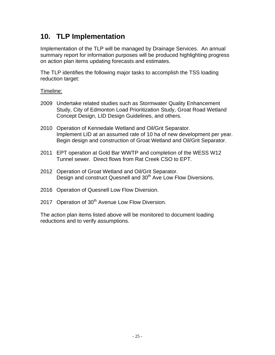# **10. TLP Implementation**

Implementation of the TLP will be managed by Drainage Services. An annual summary report for information purposes will be produced highlighting progress on action plan items updating forecasts and estimates.

The TLP identifies the following major tasks to accomplish the TSS loading reduction target:

#### Timeline:

- 2009 Undertake related studies such as Stormwater Quality Enhancement Study, City of Edmonton Load Prioritization Study, Groat Road Wetland Concept Design, LID Design Guidelines, and others.
- 2010 Operation of Kennedale Wetland and Oil/Grit Separator. Implement LID at an assumed rate of 10 ha of new development per year. Begin design and construction of Groat Wetland and Oil/Grit Separator.
- 2011 EPT operation at Gold Bar WWTP and completion of the WESS W12 Tunnel sewer. Direct flows from Rat Creek CSO to EPT.
- 2012 Operation of Groat Wetland and Oil/Grit Separator. Design and construct Quesnell and 30<sup>th</sup> Ave Low Flow Diversions.
- 2016 Operation of Quesnell Low Flow Diversion.
- 2017 Operation of 30<sup>th</sup> Avenue Low Flow Diversion.

The action plan items listed above will be monitored to document loading reductions and to verify assumptions.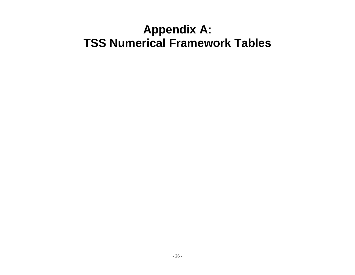# **Appendix A: TSS Numerical Framework Tables**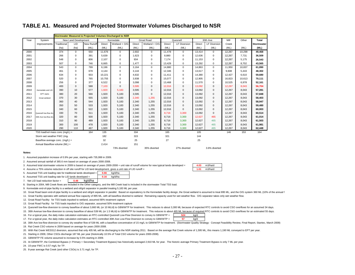#### **TABLE A1. Measured and Projected Stormwater Volumes Discharged to NSR**

|      |                                 |             |                      |            |               | <b>Stormwater Measured &amp; Projected Volumes Discharged to NSR</b> |        |               |        |              |        |                     |        |        |                   |
|------|---------------------------------|-------------|----------------------|------------|---------------|----------------------------------------------------------------------|--------|---------------|--------|--------------|--------|---------------------|--------|--------|-------------------|
| Year | System                          |             | New Land Development |            |               | Kennedale                                                            |        | Groat Road    |        | Quesnell     |        | 30th Ave            | Mill   | Other  | Total             |
|      | Improvements                    | Traditional | <b>LID</b>           | New Runoff | <b>Direct</b> | Wetland + O/G                                                        | Direct | Wetland + O/G | Direct | LF Diversion | Direct | <b>LF Diversion</b> | Creek  |        | <b>Stormwater</b> |
|      |                                 | (ha)        | (ha)                 | (ML)       | (ML)          | (ML)                                                                 | (ML)   | (ML)          | (ML)   | (ML)         | (ML)   | (ML)                | (ML)   | (ML)   | (ML)              |
| 2000 |                                 | 374         | $\mathbf 0$          | 550        | 11.676        | $\mathbf 0$                                                          | 2.602  | $\mathbf 0$   | 11,478 | $\mathbf 0$  | 13,414 | $\mathbf 0$         | 12,267 | 10,298 | 49,468            |
| 2001 |                                 | 266         | 0                    | 391        | 5.639         | $\mathbf 0$                                                          | 1.623  | $\mathbf 0$   | 8.880  | 0            | 12.636 | 0                   | 12.267 | 7.731  | 36,509            |
| 2002 |                                 | 548         | $\mathbf 0$          | 806        | 2,107         | $\mathbf 0$                                                          | 934    | $\mathbf 0$   | 7.174  | $\mathbf 0$  | 11.153 | 0                   | 12.267 | 5.175  | 26,543            |
| 2003 |                                 | 507         | $\mathbf 0$          | 746        | 6.665         | $\mathbf 0$                                                          | 1,477  | $\Omega$      | 13,429 | $\mathbf 0$  | 13,292 | 0                   | 12,267 | 8.702  | 43,565            |
| 2004 |                                 | 543         | $\mathbf 0$          | 799        | 6,196         | $\Omega$                                                             | 3,164  | $\Omega$      | 14,880 | $\Omega$     | 14,863 | $\mathbf 0$         | 11,950 | 10,837 | 61,890            |
| 2005 |                                 | 461         | 0                    | 678        | 4.144         | $\mathbf 0$                                                          | 3.144  | 0             | 12,346 | $\Omega$     | 13,617 | 0                   | 9.608  | 5,443  | 48,302            |
| 2006 |                                 | 634         | 0                    | 933        | 10.221        | $\mathbf 0$                                                          | 4.632  | $\mathbf 0$   | 11.411 | $\Omega$     | 14.380 | 0                   | 12.427 | 6.610  | 59,680            |
| 2007 |                                 | 520         | 0                    | 765        | 10.755        | $\mathbf 0$                                                          | 3.938  | 0             | 15,077 | 0            | 12.905 | 0                   | 16.823 | 10.613 | 70,111            |
| 2008 |                                 | 256         | 0                    | 377        | 6,522         | 0                                                                    | 3,098  | $\mathbf 0$   | 13,468 | $\Omega$     | 11,570 | 0                   | 10,525 | 6,978  | 52,161            |
| 2009 |                                 | 400         | $\mathbf 0$          | 588        | 7.103         | $\mathbf{0}$                                                         | 3,595  | $\mathbf{0}$  | 12,016 | $\mathbf 0$  | 13,092 | 0                   | 12.267 | 8.043  | 56,704            |
| 2010 | Kennedale and LID               | 390         | 10                   | 577        | 1.920         | 5.183                                                                | 3,595  | $\mathbf{0}$  | 12.016 | $\mathbf 0$  | 13.092 | $\mathbf{0}$        | 12.267 | 8.043  | 57,281            |
| 2011 | <b>EPT</b> starts               | 380         | 20                   | 566        | 1.920         | 5.183                                                                | 3.595  | $\mathbf{0}$  | 12,016 | $\mathbf 0$  | 13.092 | $\mathbf{0}$        | 12.267 | 8.043  | 57,848            |
| 2012 | Groat wetland                   | 370         | 30                   | 555        | 1.920         | 5.183                                                                | 2.340  | 1.255         | 12.016 | $\mathbf{0}$ | 13.092 | $\mathbf{0}$        | 12.267 | 8.043  | 58,403            |
| 2013 |                                 | 360         | 40                   | 544        | 1.920         | 5,183                                                                | 2.340  | 1,255         | 12,016 | $\Omega$     | 13.092 | $\mathbf{0}$        | 12.267 | 8.043  | 58,947            |
| 2014 |                                 | 350         | 50                   | 533        | 1.920         | 5,183                                                                | 2,340  | 1,255         | 12,016 | $\Omega$     | 13,092 | $\mathbf{0}$        | 12,267 | 8,043  | 59,480            |
| 2015 |                                 | 340         | 60                   | 522        | 1.920         | 5.183                                                                | 2,340  | 1,255         | 12,016 | $\Omega$     | 13.092 | $\mathbf{0}$        | 12.267 | 8,043  | 60,003            |
| 2016 | Quesnell low-flow div.          | 330         | 70                   | 511        | 1.920         | 5,183                                                                | 2,340  | 1,255         | 8,716  | 3.300        | 13.092 | $\mathbf{0}$        | 12.267 | 8.043  | 60,514            |
| 2017 | 30th Ave low-flow div.          | 320         | 80                   | 500        | 1.920         | 5.183                                                                | 2,340  | 1,255         | 8,716  | 3,300        | 12.627 | 465                 | 12,267 | 8,043  | 61,014            |
| 2018 |                                 | 310         | 90                   | 489        | 1,920         | 5,183                                                                | 2,340  | 1,255         | 8,716  | 3,300        | 12,627 | 465                 | 12,267 | 8,043  | 61,503            |
| 2019 |                                 | 300         | 100                  | 478        | 1.920         | 5,183                                                                | 2,340  | 1,255         | 8,716  | 3,300        | 12.627 | 465                 | 12,267 | 8,043  | 61,981            |
| 2020 |                                 | 290         | 110                  | 467        | 1.920         | 5,183                                                                | 2,340  | 1,255         | 8,716  | 3,300        | 12,627 | 465                 | 12,267 | 8,043  | 62,448            |
|      | TSS load/vol mass conc (mg/L) = |             |                      | 164        | 135           |                                                                      | 334    |               | 165    |              | 105    |                     | 146    | 153    | 164               |
|      | Storm wet weather FWC (mg/      |             |                      |            | 182           |                                                                      | 315    |               | 321    |              | 144    |                     |        |        |                   |
|      | Baseflow average conc. (mg/L) = |             |                      |            | 32            |                                                                      | 25     |               | 27     |              | 25     |                     |        |        |                   |
|      | Annual Baseflow volume (ML) =   |             |                      |            | 2,414         |                                                                      | 151    |               |        |              |        |                     |        |        |                   |
|      |                                 |             |                      |            |               | 73% diverted                                                         |        | 35% diverted  |        | 27% diverted |        | 3.6% diverted       |        |        |                   |

#### **Notes:**

1. Assumed population increase of 0.9% per year, starting with 735,999 in 2009.

2. Assumed annual rainfall of 365.6 mm based on average of years 2000-2008.

3. Assumed total stormwater volume in 2009 is based on average of years 2000-2008 + unit rate of runoff volume for new typical lands developed =

4. Assume a 75% volume reduction in off site runoff for LID land development, gives a unit rate of LID runoff =

kg/d/ha

|  |  | 5. Assumed TSS unit loading rate for traditional lands developed = 0.66 kg/ |  | kg/d/ha |  |
|--|--|-----------------------------------------------------------------------------|--|---------|--|
|--|--|-----------------------------------------------------------------------------|--|---------|--|

|  |  | 6. Assumed TSS unit loading rate for LID lands developed = | 0.16 | kg/d/ha |
|--|--|------------------------------------------------------------|------|---------|
|--|--|------------------------------------------------------------|------|---------|

7. Net LID load reduction factor =**0.49**

8. Starting in 2004, Mill Creek flows are included in the Other category, and the Mill Creek load is included in the stormwater Total TSS load.

9. Kennedale end-of-pipe facility is a wetland and oil/grit separator in parallel treating 5,183 ML per year.

10. Groat Road basin end-of-pipe facility is a wetland and oil/grit separator in parallel. Based on equivalency to the Kennedale facility design, the Groat wetland is assumed to treat 895 ML, and the O/G system 360 ML (10%

11. Groat Facility operates with wetland annual flow capacity of 895 ML, with all baseflow diverted to wetland. Remaining capacity used for wet weather flow. O/G separator takes only wet weather flow.

12. Groat Road Facility: for TSS loads inputted to wetland, assumed 80% treatment capture

13. Groat Road Facility: for TSS loads inputted to O/G separator, assumed 50% treatment capture

14. Quesnell low-flow diversion to convey baseflow of about 3,660 ML (or 10 ML/d) to GBWWTP for treatment. This reduces to about 3,300 ML because of expected RTC controls to avoid CSO overflows for an assumed 34 days.

15. 30th Avenue low-flow diversion to convey baseflow of about 539 ML (or 1.5 ML/d) to GBWWTP for treatment. This reduces to about 465 ML because of required RTC controls to avoid CSO overflows for an estimated 55 days.

16. For a typical year, the daily index calculation estimates an RTC-controlled Quesnell Low-Flow Diversion to convey to GBWWTP = 524 kg/d **524**

17. For a typical year, the daily index calculation estimates an RTC-controlled 30th Ave Low-Flow Diversion to convey to GBWWTP = 57 kg/d **57**

18. 30th Ave low-flow diversion to convey dry weather flow of 539 ML with a baseflow concentration of 15 mg/L to GBWWTP for treatment. (Stormwater Quality Strategy: Concept Feasibility Review, Final Report, Stantec, March

19. Rat Creek CSO volume in 2009 based on average for years 2000-2008.

20. With Rat Creek WESS12 diversion, assumed that only 405 ML will be discharging to the NSR starting 2011. Based on the average Rat Creek volume of 1,595 ML, this means 1,190 ML conveyed to EPT per year.

21. Starting in 2009, Other CSOs discharge 187 ML per year (historically 10.5% of Total CSO volume for years 2000-2008).

22. GBWWTP FE volume assumed to increase by 0.5% starting in 2009.

23. At GBWWTP, the Combined Bypass (= Primary + Secondary Treatment Bypass) has historically averaged 2,910 ML for year. The historic average Primary Treatment Bypass is only 7 ML per year.

24. 10-year FWC is 0.57 mg/L for TP.

25. 8-year average Rat Creek (and other CSOs) is 3.71 mg/L for TP.

**4.03 1.01**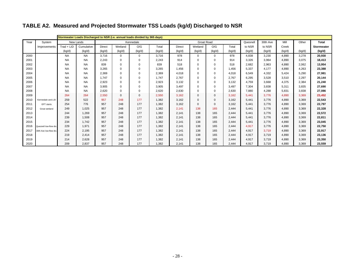# **TABLE A2. Measured and Projected Stormwater TSS Loads (kg/d) Discharged to NSR**

|      |                        |              |            |        |             | Stormwater Loads Discharged to NSR (i.e. annual loads divided by 365 days) |        |               |                   |              |        |          |          |        |        |              |
|------|------------------------|--------------|------------|--------|-------------|----------------------------------------------------------------------------|--------|---------------|-------------------|--------------|--------|----------|----------|--------|--------|--------------|
| Year | System                 |              | New Lands  |        |             | Kennedale                                                                  |        |               | <b>Groat Road</b> |              |        | Quesnell | 30th Ave | Mill   | Other  | <b>Total</b> |
|      | Improvements           | $Trad + LID$ | Cumulative | Direct | Wetland     | O/G                                                                        | Total  | <b>Direct</b> | Wetland           | O/G          | Total  | to NSR   | to NSR   | Creek  |        | Stormwater   |
|      |                        | (kg/d)       | (kg/d)     | (kg/d) | (kg/d)      | (kg/d)                                                                     | (kg/d) | (kg/d)        | (kg/d)            | (kg/d)       | (kg/d) | (kq/d)   | (kg/d)   | (kg/d) | (kg/d) | (kg/d)       |
| 2000 |                        | <b>NA</b>    | <b>NA</b>  | 3.716  | $\Omega$    | 0                                                                          | 3.716  | 978           | $\mathbf 0$       | 0            | 978    | 4.838    | 3,230    | 4,890  | 3.278  | 20,930       |
| 2001 |                        | <b>NA</b>    | <b>NA</b>  | 2.243  | $\Omega$    | $\mathbf 0$                                                                | 2.243  | 914           | $\mathbf 0$       | $\mathbf 0$  | 914    | 3.326    | 3.964    | 4,890  | 3.075  | 18,413       |
| 2002 |                        | <b>NA</b>    | <b>NA</b>  | 839    | $\Omega$    | 0                                                                          | 839    | 518           | $\Omega$          | $\mathbf 0$  | 518    | 2.682    | 2.963    | 4.890  | 2.062  | 13,954       |
| 2003 |                        | <b>NA</b>    | <b>NA</b>  | 3,265  | $\Omega$    | 0                                                                          | 3.265  | 1,456         | $\Omega$          | 0            | 1,456  | 5,337    | 4.177    | 4,890  | 4,263  | 23,388       |
| 2004 |                        | <b>NA</b>    | <b>NA</b>  | 2.369  | $\Omega$    | $\mathbf 0$                                                                | 2.369  | 4,018         | $\mathbf 0$       | $\mathbf 0$  | 4.018  | 6.549    | 4.332    | 5.424  | 5.290  | 27,981       |
| 2005 |                        | <b>NA</b>    | <b>NA</b>  | 1.747  | $\mathbf 0$ | 0                                                                          | 1.747  | 2,767         | $\mathbf 0$       | $\mathbf 0$  | 2.767  | 6,295    | 3,528    | 3,510  | 2,297  | 20,144       |
| 2006 |                        | <b>NA</b>    | <b>NA</b>  | 2.923  | $\mathbf 0$ | 0                                                                          | 2,923  | 3,132         | $\mathbf 0$       | $\mathbf 0$  | 3.132  | 4.759    | 3.668    | 4,375  | 2,384  | 21,240       |
| 2007 |                        | <b>NA</b>    | <b>NA</b>  | 3.905  | $\Omega$    | 0                                                                          | 3,905  | 3,497         | 0                 | $\mathbf 0$  | 3.497  | 7.304    | 3.838    | 5,311  | 3.835  | 27,690       |
| 2008 |                        | <b>NA</b>    | <b>NA</b>  | 2.620  | $\Omega$    | 0                                                                          | 2.620  | 2,630         | 0                 | 0            | 2,630  | 7.880    | 4.288    | 5.831  | 3.838  | 27,086       |
| 2009 |                        | 264          | 264        | 2.550  | $\Omega$    | $\mathbf 0$                                                                | 2.550  | 3,162         | $\mathbf{0}$      | $\mathbf 0$  | 3.162  | 5.441    | 3.776    | 4,890  | 3,369  | 23,452       |
| 2010 | Kennedale and LID      | 259          | 522        | 957    | 248         | 177                                                                        | 1,382  | 3,162         | $\mathbf 0$       | $\mathbf 0$  | 3.162  | 5.441    | 3.776    | 4.890  | 3.369  | 22,543       |
| 2011 | EPT starts             | 254          | 776        | 957    | 248         | 177                                                                        | 1,382  | 3,162         | $\Omega$          | $\mathbf{0}$ | 3,162  | 5,441    | 3.776    | 4,890  | 3,369  | 22,797       |
| 2012 | Groat wetland          | 249          | 1.025      | 957    | 248         | 177                                                                        | 1,382  | 2,141         | 138               | 165          | 2.444  | 5.441    | 3.776    | 4,890  | 3,369  | 22,328       |
| 2013 |                        | 244          | 1.269      | 957    | 248         | 177                                                                        | 1,382  | 2,141         | 138               | 165          | 2,444  | 5.441    | 3.776    | 4,890  | 3,369  | 22,572       |
| 2014 |                        | 239          | 1.508      | 957    | 248         | 177                                                                        | 1,382  | 2,141         | 138               | 165          | 2.444  | 5.441    | 3.776    | 4.890  | 3.369  | 22,811       |
| 2015 |                        | 234          | 1.742      | 957    | 248         | 177                                                                        | 1,382  | 2,141         | 138               | 165          | 2.444  | 5.441    | 3.776    | 4,890  | 3,369  | 23,045       |
| 2016 | Quesnell low-flow div. | 229          | 1.971      | 957    | 248         | 177                                                                        | 1.382  | 2,141         | 138               | 165          | 2.444  | 4.917    | 3.776    | 4.890  | 3.369  | 22,750       |
| 2017 | 30th Ave low-flow div. | 224          | 2.195      | 957    | 248         | 177                                                                        | 1.382  | 2.141         | 138               | 165          | 2.444  | 4.917    | 3.719    | 4.890  | 3.369  | 22,917       |
| 2018 |                        | 219          | 2.414      | 957    | 248         | 177                                                                        | 1.382  | 2.141         | 138               | 165          | 2.444  | 4.917    | 3.719    | 4.890  | 3.369  | 23,136       |
| 2019 |                        | 214          | 2.628      | 957    | 248         | 177                                                                        | 1,382  | 2.141         | 138               | 165          | 2.444  | 4.917    | 3.719    | 4.890  | 3.369  | 23,350       |
| 2020 |                        | 209          | 2,837      | 957    | 248         | 177                                                                        | 1,382  | 2,141         | 138               | 165          | 2,444  | 4,917    | 3.719    | 4,890  | 3,369  | 23,559       |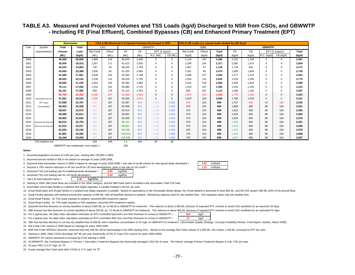#### **TABLE A3. Measured and Projected Volumes and TSS Loads (kg/d) Discharged to NSR from CSOs, and GBWWTP - Including FE (Final Effluent), Combined Bypasses (CB) and Enhanced Primary Treatment (EPT)**

|      |                        | <b>Stormwater</b> |              |                  |            |         |           | CSO & GB Measured & Projected Volumes Discharged to NSR |              | CSO & GB Loads (i.e. annual loads divided by 365 days) |            |              |           |        |               |                 |        |
|------|------------------------|-------------------|--------------|------------------|------------|---------|-----------|---------------------------------------------------------|--------------|--------------------------------------------------------|------------|--------------|-----------|--------|---------------|-----------------|--------|
| Year |                        |                   | <b>Total</b> |                  | <b>CSO</b> |         |           | <b>GBWWTP</b>                                           |              |                                                        | <b>CSO</b> |              |           |        | <b>GBWWTP</b> |                 |        |
|      | System                 | Total             |              |                  |            |         |           |                                                         |              |                                                        |            |              |           |        |               |                 |        |
|      | Improvements           | Volume            | Load         | <b>Rat Creek</b> | Others     | FE.     | <b>CB</b> | EPT (2 inputs)                                          |              | <b>Rat Creek</b>                                       | Others     | <b>Total</b> | <b>FE</b> | CB     |               | EPT (2 outputs) | Total  |
|      |                        | (ML)              | (kg/d)       | (ML)             | (ML)       | (ML)    | (ML)      | R.C. (ML)                                               | CB (ML)      | (kg/d)                                                 | (kg/d)     | (kg/d)       | (kg/d)    | (kg/d) | R.C. (kg/d)   | CB (kg/d)       | (kg/d) |
| 2000 |                        | 49.468            | 20,930       | 1.865            | 143        | 90,520  | 3.030     | 0                                                       | $\mathbf 0$  | 2,119                                                  | 187        | 2,306        | 2,232     | 1,159  | 0             | 0               | 3,391  |
| 2001 |                        | 36,509            | 18,413       | 2,267            | 171        | 91,615  | 2,826     | 0                                                       | $\Omega$     | 2,208                                                  | 164        | 2.371        | 2,382     | 1,474  | $\Omega$      | 0               | 3,856  |
| 2002 |                        | 26,543            | 13.954       | 730              | 39         | 89.425  | 2.760     | 0                                                       | $\mathbf 0$  | 1.061                                                  | 57         | 1.118        | 1.728     | 544    | $\Omega$      | 0               | 2,272  |
| 2003 |                        | 43.565            | 23.388       | 1.928            | 66         | 91.250  | 2,964     | $\mathbf 0$                                             | $\mathbf 0$  | 2.391                                                  | 83         | 2.474        | 1.909     | 1,840  | $\Omega$      | 0               | 3.749  |
| 2004 |                        | 61.890            | 27.981       | 2.639            | 433        | 92.345  | 2.788     | $\mathbf 0$                                             | $\mathbf{0}$ | 2.989                                                  | 477        | 3.465        | 1.477     | 1.475  | 0             | 0               | 2,953  |
| 2005 |                        | 48,302            | 20,144       | 1.158            | 112        | 90,619  | 2,760     | $\Omega$                                                | $\mathbf 0$  | 1,914                                                  | 131        | 2,045        | 1,529     | 2,246  | 0             | 0               | 3,775  |
| 2006 |                        | 59,680            | 21,240       | 1.691            | 318        | 90.482  | 2.965     | $\Omega$                                                | $^{\circ}$   | 2,042                                                  | 518        | 2.560        | 1,055     | 1,843  | $\Omega$      | 0               | 2,898  |
| 2007 |                        | 70.111            | 27.690       | 1.242            | 222        | 90,980  | 3.743     | $\Omega$                                                | $\Omega$     | 1.203                                                  | 187        | 1.390        | 2,103     | 2,129  | $\Omega$      | 0               | 4,231  |
| 2008 |                        | 52,161            | 27.086       | 839              | 179        | 91.113  | 2,352     | 0                                                       | $\Omega$     | 905                                                    | 207        | 1.112        | 1.485     | 1,182  | $\Omega$      | 0               | 2,667  |
| 2009 |                        | 56,704            | 23,452       | 1.595            | 187        | 91,569  | 2.910     | $\mathbf{0}$                                            | $\mathbf{0}$ | 1.870                                                  | 224        | 2.094        | 1.779     | 1,543  | 0             | 0               | 3,323  |
| 2010 | Kennedale and LID      | 57,281            | 22,543       | 1.595            | 187        | 92.026  | 2,910     | $\Omega$                                                | $\Omega$     | 1,870                                                  | 224        | 2,094        | 1.788     | 1,543  | 0             | $\mathbf{0}$    | 3,331  |
| 2011 | <b>FPT</b> starts      | 57,848            | 22.797       | 405              | 187        | 92.487  | 910       | 1.190                                                   | 2.000        | 475                                                    | 224        | 699          | 1.797     | 483    | 98            | 164             | 2,542  |
| 2012 | Groat wetland          | 58,403            | 22,328       | 405              | 187        | 92.949  | 910       | 1.190                                                   | 2.000        | 475                                                    | 224        | 699          | 1.806     | 483    | 98            | 164             | 2,551  |
| 2013 |                        | 58,947            | 22.572       | 405              | 187        | 93.414  | 910       | 1.190                                                   | 2.000        | 475                                                    | 224        | 699          | 1.815     | 483    | 98            | 164             | 2,560  |
| 2014 |                        | 59,480            | 22,811       | 405              | 187        | 93,881  | 910       | 1,190                                                   | 2.000        | 475                                                    | 224        | 699          | 1.824     | 483    | 98            | 164             | 2,569  |
| 2015 |                        | 60.003            | 23.045       | 405              | 187        | 94.350  | 910       | 1.190                                                   | 2.000        | 475                                                    | 224        | 699          | 1.833     | 483    | 98            | 164             | 2,578  |
| 2016 | Quesnell low-flow div. | 60.514            | 22.750       | 405              | 187        | 98.122  | 910       | 1.190                                                   | 2.000        | 475                                                    | 224        | 699          | 1.906     | 483    | 98            | 164             | 2,651  |
| 2017 | 30th Ave low-flow div  | 61.014            | 22.917       | 405              | 187        | 99.061  | 910       | 1.190                                                   | 2.000        | 475                                                    | 224        | 699          | 1.925     | 483    | 98            | 164             | 2.669  |
| 2018 |                        | 61.503            | 23.136       | 405              | 187        | 99.538  | 910       | 1,190                                                   | 2.000        | 475                                                    | 224        | 699          | 1.934     | 483    | 98            | 164             | 2.679  |
| 2019 |                        | 61.981            | 23.350       | 405              | 187        | 100.016 | 910       | 1.190                                                   | 2.000        | 475                                                    | 224        | 699          | 1.943     | 483    | 98            | 164             | 2,688  |
| 2020 |                        | 62.448            | 23.559       | 405              | 187        | 100.498 | 910       | 1.190                                                   | 2.000        | 475                                                    | 224        | 699          | 1.953     | 483    | 98            | 164             | 2,697  |
|      | TSS load/vol ma        |                   |              | 428              | 436        | 7.1     | 194       | 30                                                      | 30           |                                                        |            |              |           |        |               |                 |        |

*GBWWTP raw wastewater conc (mg/L) =* 428

#### **Notes:**

1. Assumed population increase of 0.9% per year, starting with 735,999 in 2009.

2. Assumed annual rainfall of 365.6 mm based on average of years 2000-2008.

3. Assumed total stormwater volume in 2009 is based on average of years  $2000-2008 +$  unit rate of runoff volume for new typical lands developed =  $4.03$  m3/ha/d

4. Assume a 75% volume reduction in off site runoff for LID land development, gives a unit rate of LID runoff =

| 5. Assumed TSS unit loading rate for traditional lands developed = | 0.66 | ka/d/ha |
|--------------------------------------------------------------------|------|---------|
| 6. Assumed TSS unit loading rate for LID lands developed =         | 0.16 | kɑ/d/ha |

7. Net LID load reduction factor = kg/d/ha **0.49**

8. Starting in 2004, Mill Creek flows are included in the Other category, and the Mill Creek load is included in the stormwater Total TSS load.

9. Kennedale end-of-pipe facility is a wetland and oil/grit separator in parallel treating 5,183 ML per year.

10. Groat Road basin end-of-pipe facility is a wetland and oil/grit separator in parallel. Based on equivalency to the Kennedale facility design, the Groat wetland is assumed to treat 895 ML, and the O/G system 360 ML (10%

11. Groat Facility operates with wetland annual flow capacity of 895 ML, with all baseflow diverted to wetland. Remaining capacity used for wet weather flow. O/G separator takes only wet weather flow.

12. Groat Road Facility: for TSS loads inputted to wetland, assumed 80% treatment capture

13. Groat Road Facility: for TSS loads inputted to O/G separator, assumed 50% treatment capture

14. Quesnell low-flow diversion to convey baseflow of about 3,660 ML (or 10 ML/d) to GBWWTP for treatment. This reduces to about 3,300 ML because of expected RTC controls to avoid CSO overflows for an assumed 34 days.

15. 30th Avenue low-flow diversion to convey baseflow of about 539 ML (or 1.5 ML/d) to GBWWTP for treatment. This reduces to about 465 ML because of required RTC controls to avoid CSO overflows for an estimated 55 days.

16. For a typical year, the daily index calculation estimates an RTC-controlled Quesnell Low-Flow Diversion to convey to GBWWTP = 524 kg/d **524**

17. For a typical year, the daily index calculation estimates an RTC-controlled 30th Ave Low-Flow Diversion to convey to GBWWTP = 57 kg/d **57**

18. 30th Ave low-flow diversion to convey dry weather flow of 539 ML with a baseflow concentration of 15 mg/L to GBWWTP for treatment. (Stormwater Quality Strategy: Concept Feasibility Review, Final Report, Stantec, March

19. Rat Creek CSO volume in 2009 based on average for years 2000-2008.

20. With Rat Creek WESS12 diversion, assumed that only 405 ML will be discharging to the NSR starting 2011. Based on the average Rat Creek volume of 1,595 ML, this means 1,190 ML conveyed to EPT per year.

21. Starting in 2009, Other CSOs discharge 187 ML per year (historically 10.5% of Total CSO volume for years 2000-2008).

22. GBWWTP FE volume assumed to increase by 0.5% starting in 2009.

23. At GBWWTP, the Combined Bypass (= Primary + Secondary Treatment Bypass) has historically averaged 2,910 ML for year. The historic average Primary Treatment Bypass is only 7 ML per year.

24. 10-year FWC is 0.57 mg/L for TP.

25. 8-year average Rat Creek (and other CSOs) is 3.71 mg/L for TP.

**4.031.01**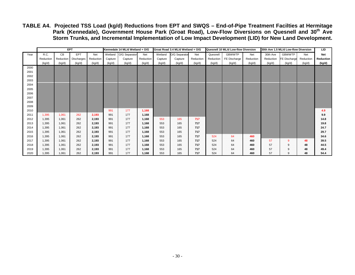**TABLE A4. Projected TSS Load (kg/d) Reductions from EPT and SWQS – End-of-Pipe Treatment Facilties at Hermitage Park (Kennedale), Government House Park (Groat Road), Low-Flow Diversions on Quesnell and 30th Ave Storm Trunks, and Incremental Implementation of Low Impact Development (LID) for New Land Development.** 

|      |           | <b>EPT</b> |            |           |         | Kennedale 14 ML/d Wetland + O/G |           |         | Groat Road 3.4 ML/d Wetland + O/G |           |           | Quesnell 10 ML/d Low-flow Diversion |           | 30th Ave 1.5 ML/d Low-flow Diversion |              |           | <b>LID</b> |
|------|-----------|------------|------------|-----------|---------|---------------------------------|-----------|---------|-----------------------------------|-----------|-----------|-------------------------------------|-----------|--------------------------------------|--------------|-----------|------------|
| Year | R.C.      | CВ         | <b>EPT</b> | Net       |         | Wetland O/G Separator           | Net       | Wetland | O/G Separator                     | Net       | Quesnell  | <b>GBWWTP</b>                       | Net       | 30th Ave                             | GBWWTP       | Net       | <b>Net</b> |
|      | Reduction | Reduction  | Discharges | Reduction | Capture | Capture                         | Reduction | Capture | Capture                           | Reduction | Reduction | FE Discharge                        | Reduction | Reduction                            | FE Discharge | Reduction | Reduction  |
|      | (kg/d)    | (kg/d)     | (kg/d)     | (kg/d)    | (kg/d)  | (kg/d)                          | (kg/d)    | (kg/d)  | (kg/d)                            | (kg/d)    | (kg/d)    | (kg/d)                              | (kg/d)    | (kg/d)                               | (kg/d)       | (kg/d)    | (kg/d)     |
| 2000 |           |            |            |           |         |                                 |           |         |                                   |           |           |                                     |           |                                      |              |           |            |
| 2001 |           |            |            |           |         |                                 |           |         |                                   |           |           |                                     |           |                                      |              |           |            |
| 2002 |           |            |            |           |         |                                 |           |         |                                   |           |           |                                     |           |                                      |              |           |            |
| 2003 |           |            |            |           |         |                                 |           |         |                                   |           |           |                                     |           |                                      |              |           |            |
| 2004 |           |            |            |           |         |                                 |           |         |                                   |           |           |                                     |           |                                      |              |           |            |
| 2005 |           |            |            |           |         |                                 |           |         |                                   |           |           |                                     |           |                                      |              |           |            |
| 2006 |           |            |            |           |         |                                 |           |         |                                   |           |           |                                     |           |                                      |              |           |            |
| 2007 |           |            |            |           |         |                                 |           |         |                                   |           |           |                                     |           |                                      |              |           |            |
| 2008 |           |            |            |           |         |                                 |           |         |                                   |           |           |                                     |           |                                      |              |           |            |
| 2009 |           |            |            |           |         |                                 |           |         |                                   |           |           |                                     |           |                                      |              |           |            |
| 2010 |           |            |            |           | 991     | 177                             | 1,168     |         |                                   |           |           |                                     |           |                                      |              |           | 4.9        |
| 2011 | 1,395     | 1.061      | 262        | 2.193     | 991     | 177                             | 1,168     |         |                                   |           |           |                                     |           |                                      |              |           | 9.9        |
| 2012 | 1,395     | 1,061      | 262        | 2,193     | 991     | 177                             | 1,168     | 553     | 165                               | 717       |           |                                     |           |                                      |              |           | 14.8       |
| 2013 | 1,395     | 1.061      | 262        | 2,193     | 991     | 177                             | 1,168     | 553     | 165                               | 717       |           |                                     |           |                                      |              |           | 19.8       |
| 2014 | 1.395     | 1.061      | 262        | 2,193     | 991     | 177                             | 1,168     | 553     | 165                               | 717       |           |                                     |           |                                      |              |           | 24.7       |
| 2015 | 1,395     | 1,061      | 262        | 2,193     | 991     | 177                             | 1,168     | 553     | 165                               | 717       |           |                                     |           |                                      |              |           | 29.7       |
| 2016 | 1.395     | 1.061      | 262        | 2,193     | 991     | 177                             | 1,168     | 553     | 165                               | 717       | 524       | 64                                  | 460       |                                      |              |           | 34.6       |
| 2017 | 1.395     | 1.061      | 262        | 2,193     | 991     | 177                             | 1,168     | 553     | 165                               | 717       | 524       | 64                                  | 460       | 57                                   | 9            | 48        | 39.5       |
| 2018 | 1,395     | 1.061      | 262        | 2,193     | 991     | 177                             | 1,168     | 553     | 165                               | 717       | 524       | 64                                  | 460       | 57                                   | 9            | 48        | 44.5       |
| 2019 | 1,395     | 1,061      | 262        | 2,193     | 991     | 177                             | 1,168     | 553     | 165                               | 717       | 524       | 64                                  | 460       | 57                                   | 9            | 48        | 49.4       |
| 2020 | 1,395     | 1,061      | 262        | 2,193     | 991     | 177                             | 1,168     | 553     | 165                               | 717       | 524       | 64                                  | 460       | 57                                   | 9            | 48        | 54.4       |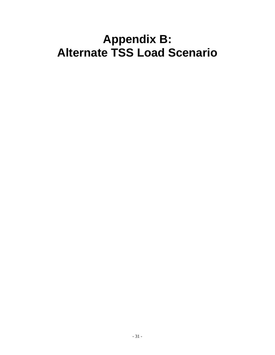# **Appendix B: Alternate TSS Load Scenario**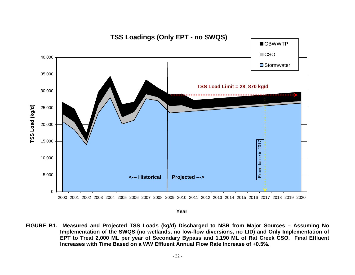

**Year**

**FIGURE B1. Measured and Projected TSS Loads (kg/d) Discharged to NSR from Major Sources – Assuming No Implementation of the SWQS (no wetlands, no low-flow diversions, no LID) and Only Implementation of EPT to Treat 2,000 ML per year of Secondary Bypass and 1,190 ML of Rat Creek CSO. Final Effluent Increases with Time Based on a WW Effluent Annual Flow Rate Increase of +0.5%.**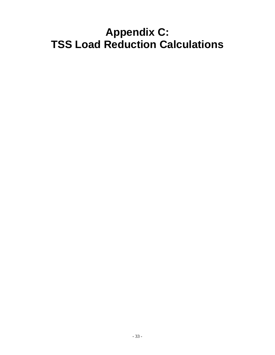# **Appendix C: TSS Load Reduction Calculations**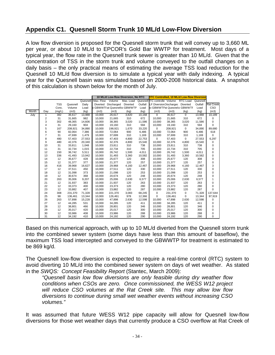# **Appendix C1. Quesnell Storm Trunk 10 ML/d Low-Flow Diversion**

A low flow diversion is proposed for the Quesnell storm trunk that will convey up to 3,660 ML per year, or about 10 ML/d to EPCOR's Gold Bar WWTP for treatment. Most days of a typical year, the flow rate in the Quesnell trunk sewer is greater than 10 ML/d. Given that the concentration of TSS in the storm trunk and volume conveyed to the outfall changes on a daily basis – the only practical means of estimating the average TSS load reduction for the Quesnell 10 ML/d flow diversion is to simulate a typical year with daily indexing. A typical year for the Quesnell basin was simulated based on 2000-2008 historical data. A snapshot of this calculation is shown below for the month of July.

|       |                |            |          |        |                    |                     | 10 ML/d Low-flow Diversion, No RTC |         | <b>RTC Controlled, 10 ML/d Low-flow Diversion</b> |         |             |          |                  |
|-------|----------------|------------|----------|--------|--------------------|---------------------|------------------------------------|---------|---------------------------------------------------|---------|-------------|----------|------------------|
|       |                |            |          |        | Quesnell Max, Flow | Volume              | Max. Load                          |         | Quesnell <b>RTC</b> controlle Volume              |         | RTC Load    | Quesnell |                  |
|       |                | <b>TSS</b> | Quesnell | Daily  |                    | Diverted Discharged | Diverted                           | Outfall | LF DiversionDischargec Diverted                   |         |             | Outfall  | <b>Rat Creek</b> |
|       |                | Conc.      | Volume   | Load   |                    |                     | o GBWWTF at Quesnellto GBWWTF      | Load    | to GBWWTPat Quesnel:o GBWWTF                      |         |             | Load     | CSO              |
| Month | Day            | (mq/L)     | (m3)     | (kg)   | (m3)               | (m3)                | (kg)                               | (kg)    | (m3)                                              | (m3)    | (kg)        | (kg)     | (m3)             |
| July  | 1              | 382        | 36,617   | 13,988 | 10,000             | 26,617              | 3,820                              | 10,168  | 0                                                 | 36,617  | $\mathbf 0$ | 13,988   | 10,189           |
|       | $\overline{2}$ | 31         | 31,665   | 982    | 10,000             | 21,665              | 310                                | 672     | 10,000                                            | 21,665  | 310         | 672      | 0                |
|       | 3              | 302        | 48,365   | 14,606 | 10,000             | 38,365              | 3,020                              | 11,586  | 10,000                                            | 38,365  | 3,020       | 11,586   | $\mathbf 0$      |
|       | 4              | 31         | 29,160   | 904    | 10,000             | 19,160              | 310                                | 594     | 10,000                                            | 19,160  | 310         | 594      | $\Omega$         |
|       | 5              | 167        | 208,921  | 34,890 | 10,000             | 198,921             | 1,670                              | 33,220  | 0                                                 | 208,921 | $\mathbf 0$ | 34,890   | 89,680           |
|       | 6              | 90         | 82,064   | 7,386  | 10,000             | 72,064              | 900                                | 6,486   | 10,000                                            | 72,064  | 900         | 6,486    | 618              |
|       | $\overline{7}$ | 31         | 47,699   | 1,479  | 10,000             | 37,699              | 310                                | 1,169   | 10,000                                            | 37,699  | 310         | 1,169    | 0                |
|       | 8              | 480        | 57,403   | 27,553 | 10,000             | 47,403              | 4,800                              | 22,753  | 0                                                 | 57,403  | 0           | 27,553   | 6,297            |
|       | 9              | 480        | 42,376   | 20,340 | 10,000             | 32,376              | 4,800                              | 15,540  | 10.000                                            | 32.376  | 4,800       | 15,540   | 0                |
|       | 10             | 31         | 33,811   | 1,048  | 10,000             | 23,811              | 310                                | 738     | 10,000                                            | 23,811  | 310         | 738      | 0                |
|       | 11             | 31         | 32,734   | 1,015  | 10,000             | 22,734              | 310                                | 705     | 10,000                                            | 22,734  | 310         | 705      | 0                |
|       | 12             | 150        | 36,742   | 5,511  | 10,000             | 26,742              | 1,500                              | 4.011   | 10,000                                            | 26,742  | 1,500       | 4,011    | 0                |
|       | 13             | 336        | 41,493   | 13,942 | 10,000             | 31,493              | 3,360                              | 10,582  | 10,000                                            | 31,493  | 3,360       | 10,582   | 0                |
|       | 14             | 12         | 35,677   | 428    | 10,000             | 25.677              | 120                                | 308     | 10,000                                            | 25,677  | 120         | 308      | 0                |
|       | 15             | 12         | 31,377   | 377    | 10,000             | 21,377              | 120                                | 257     | 10,000                                            | 21,377  | 120         | 257      | 0                |
|       | 16             | 416        | 39,968   | 16,627 | 10,000             | 29,968              | 4,160                              | 12,467  | 10,000                                            | 29,968  | 4,160       | 12,467   | 3                |
|       | 17             | 12         | 37,511   | 450    | 10,000             | 27,511              | 120                                | 330     | 10,000                                            | 27,511  | 120         | 330      | 0                |
|       | 18             | 12         | 31,098   | 373    | 10,000             | 21,098              | 120                                | 253     | 10,000                                            | 21,098  | 120         | 253      | 0                |
|       | 19             | 12         | 30.674   | 368    | 10.000             | 20.674              | 120                                | 248     | 10.000                                            | 20.674  | 120         | 248      | 0                |
|       | 20             | 263        | 35,006   | 9,207  | 10,000             | 25,006              | 2,630                              | 6,577   | 10,000                                            | 25,006  | 2,630       | 6,577    | 1                |
|       | 21             | 12         | 31,937   | 383    | 10,000             | 21,937              | 120                                | 263     | 10,000                                            | 21,937  | 120         | 263      | 0                |
|       | 22             | 12         | 33,373   | 400    | 10,000             | 23,373              | 120                                | 280     | 10,000                                            | 23,373  | 120         | 280      | 0                |
|       | 23             | 12         | 33,882   | 407    | 10,000             | 23,882              | 120                                | 287     | 10,000                                            | 23,882  | 120         | 287      | $\Omega$         |
|       | 24             | 308        | 231,370  | 71.328 | 10,000             | 221,370             | 3,083                              | 68,245  | 0                                                 | 231,370 | 0           | 71,328   | 137,644          |
|       | 25             | 98         | 136,461  | 13,344 | 10,000             | 126,461             | 978                                | 12,366  | 0                                                 | 136,461 | 0           | 13,344   | 97,919           |
|       | 26             | 263        | 57,898   | 15,228 | 10,000             | 47,898              | 2,630                              | 12,598  | 10.000                                            | 47,898  | 2,630       | 12,598   | 0                |
|       | 27             | 12         | 44,285   | 531    | 10,000             | 34,285              | 120                                | 411     | 10,000                                            | 34,285  | 120         | 411      | 0                |
|       | 28             | 12         | 38,801   | 466    | 10,000             | 28,801              | 120                                | 346     | 10,000                                            | 28,801  | 120         | 346      | 0                |
|       | 29             | 12         | 35,017   | 420    | 10,000             | 25,017              | 120                                | 300     | 10,000                                            | 25,017  | 120         | 300      | 0                |
|       | 30             | 12         | 33,986   | 408    | 10,000             | 23,986              | 120                                | 288     | 10,000                                            | 23,986  | 120         | 288      | 0                |
|       | 31             | 12         | 34,192   | 410    | 10,000             | 24,192              | 120                                | 290     | 10,000                                            | 24,192  | 120         | 290      | 0                |

Based on this numerical approach, with up to 10 ML/d diverted from the Quesnell storm trunk into the combined sewer system (some days have less than this amount of baseflow), the maximum TSS load intercepted and conveyed to the GBWWTP for treatment is estimated to be 869 kg/d.

The Quesnell low-flow diversion is expected to require a real-time control (RTC) system to avoid diverting 10 ML/d into the combined sewer system on days of wet weather. As stated in the *SWQS: Concept Feasibility Report* (Stantec, March 2009):

*"Quesnell basin low flow diversions are only feasible during dry weather flow conditions when CSOs are zero. Once commissioned, the WESS W12 project will reduce CSO volumes at the Rat Creek site. This may allow low flow diversions to continue during small wet weather events without increasing CSO volumes."* 

It was assumed that future WESS W12 pipe capacity will allow for Quesnell low-flow diversions for those wet weather days that currently produce a CSO overflow at Rat Creek of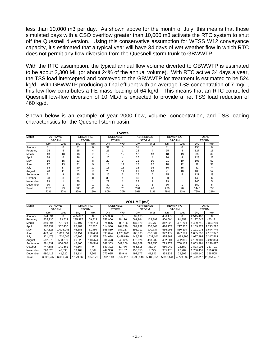less than 10,000 m3 per day. As shown above for the month of July, this means that those simulated days with a CSO overflow greater than 10,000 m3 activate the RTC system to shut off the Quesnell diversion. Using this conservative assumption for WESS W12 conveyance capacity, it's estimated that a typical year will have 34 days of wet weather flow in which RTC does not permit any flow diversion from the Quesnell storm trunk to GBWWTP.

With the RTC assumption, the typical annual flow volume diverted to GBWWTP is estimated to be about 3,300 ML (or about 24% of the annual volume). With RTC active 34 days a year, the TSS load intercepted and conveyed to the GBWWTP for treatment is estimated to be 524 kg/d. With GBWWTP producing a final effluent with an average TSS concentration of 7 mg/L, this low flow contributes a FE mass loading of 64 kg/d. This means that an RTC-controlled Quesnell low-flow diversion of 10 ML/d is expected to provide a net TSS load reduction of 460 kg/d.

Shown below is an example of year 2000 flow, volume, concentration, and TSS loading characteristics for the Quesnell storm basin.

| Month     |     | 30TH AVE     |     | <b>GROAT RD.</b> |     | QUESNELL     | <b>KENNEDALE</b> |          |     | <b>REMAINING</b> |      | <b>TOTAL</b> |
|-----------|-----|--------------|-----|------------------|-----|--------------|------------------|----------|-----|------------------|------|--------------|
|           |     | <b>STORM</b> |     | <b>STORM</b>     |     | <b>STORM</b> | <b>STORM</b>     |          |     | <b>STORM</b>     |      | <b>STORM</b> |
|           | Drv | Wet          | Dry | Wet              | Dry | Wet          | Dry              | Wet      | Drv | Wet              | Dry  | Wet          |
| January   | 31  | $\mathbf 0$  | 31  | 0                | 31  | $\Omega$     | 31               | $\Omega$ | 31  | 0                | 155  | $\mathbf 0$  |
| February  | 24  | 5            | 25  | 4                | 28  |              | 25               | 4        | 25  | 4                | 127  | 18           |
| March     | 13  | 18           | 18  | 13               | 19  | 12           | 18               | 13       | 18  | 13               | 86   | 69           |
| April     | 24  | 6            | 26  | 4                | 26  | 4            | 26               | 4        | 26  | 4                | 128  | 22           |
| May       | 16  | 15           | 23  | 8                | 22  | 9            | 21               | 10       | 21  | 10               | 103  | 52           |
| June      | 17  | 13           | 21  | 9                | 18  | 12           | 18               | 12       | 18  | 12               | 92   | 58           |
| July      | 14  | 17           | 20  | 11               | 15  | 16           | 16               | 15       | 16  | 15               | 81   | 74           |
| August    | 20  | 11           | 21  | 10               | 20  | 11           | 21               | 10       | 21  | 10               | 103  | 52           |
| September | 21  | 9            | 25  | 5                | 25  | 5            | 25               | 5        | 25  | 5                | 121  | 29           |
| October   | 28  | 3            | 31  | ŋ                | 30  |              | 30               |          | 30  |                  | 149  | 6            |
| November  | 29  |              | 29  |                  | 29  |              | 29               |          | 29  |                  | 145  | 5            |
| December  | 30  |              | 30  |                  | 30  |              | 30               |          | 30  |                  | 150  | 5            |
| Total     | 267 | 99           | 300 | 66               | 293 | 73           | 290              | 76       | 290 | 76               | 1440 | 390          |
|           | 73% | 27%          | 82% | 18%              | 80% | 20%          | 79%              | 21%      | 79% | 21%              | 79%  | 21%          |

| <b>Ants</b><br>ú |  |
|------------------|--|
|                  |  |

|           | <b>VOLUME</b> (m3) |           |                  |         |              |           |              |                  |              |                  |           |                       |  |
|-----------|--------------------|-----------|------------------|---------|--------------|-----------|--------------|------------------|--------------|------------------|-----------|-----------------------|--|
| Month     | 30TH AVE           |           | <b>GROAT RD.</b> |         |              | QUESNELL  |              | <b>KENNEDALE</b> |              | <b>REMAINING</b> |           | <b>TOTAL</b>          |  |
|           | <b>STORM</b>       |           | <b>STORM</b>     |         | <b>STORM</b> |           | <b>STORM</b> |                  | <b>STORM</b> |                  |           | <b>STORM</b>          |  |
|           | Drv                | Wet       | Dry              | Wet     | Dry          | Wet       | Dry          | Wet              | Dry          | Wet              | Dry       | Wet                   |  |
| January   | 674.634            | 0         | 425.092          | 0       | 277.336      | 0         | 682.168      | $\Omega$         | 486,172      | 0                | 2.545.402 | $\Omega$              |  |
| February  | 525.736            | 133.522   | 285.487          | 69.722  | 353.956      | 26.176    | 561.964      | 128.892          | 400.504      | 91.859           | 2.127.647 | 450.171               |  |
| March     | 310.594            | 721.824   | 65.197           | 129.784 | 374.075      | 505.166   | 437.820      | 605.765          | 312.028      | 431.721          | 1,499,715 | 2,394,260             |  |
| April     | 567.932            | 362.430   | 25.489           | 62.820  | 514.986      | 264.229   | 584,792      | 305.843          | 416,773      | 217.970          | 2,109,972 | 1,213,292             |  |
| May       | 427.626            | 1.015.046 | 46.885           | 81.494  | 555.859      | 787.267   | 593.712      | 900.737          | 566.995      | 860.204          | 2.191.076 | 3.644.749             |  |
| June      | 479.845            | 1.069.054 | 30.454           | 230,406 | 535.624      | 1.128.072 | 266.693      | 882.064          | 342.477      | 827.781          | 1.655.092 | 4.137.377             |  |
| July      | 421.478            | 1.710.045 | 47.106           | 111.555 | 574.698      | 1.459.819 | 448.748      | 1.032.101        | 435.862      | 1,033,995        | 1.927.893 | 5.347.514             |  |
| August    | 582,273            | 593.377   | 46,823           | 113.474 | 584.473      | 649.385   | 473.826      | 453.232          | 452.504      | 432,836          | 2.139.900 | 2,242,304             |  |
| September | 581.831            | 856.088   | 45.465           | 170.546 | 742.353      | 642.256   | 764.369      | 793.855          | 729.973      | 758.132          | 2.863.991 | 3.220.877             |  |
| October   | 747.586            | 141.562   | 49.164           | 0       | 680.392      | 31.776    | 785.818      | 31.794           | 560.042      | 22,659           | 2,823,003 | 227,791               |  |
| November  | 720.320            | 42.595    | 59.469           | 6.869   | 447.306      | 37.187    | 193.858      | 7.725            | 335.478      | 22,282           | 1,756,431 | 116,658               |  |
| December  | 680.412            | 41.220    | 53.134           | 7.501   | 270.085      | 35.948    | 497.177      | 41.943           | 354.332      | 29.892           | 1.855.140 | 156,505               |  |
| Total     | 6.720.267          | 6.686.763 | 1.179.765        | 984.171 | 5.911.143    | 5,567,281 | 6,290,946    | 5.183.951        | 5,393,141    | 4.729.332        |           | 25,495,261 23,151,497 |  |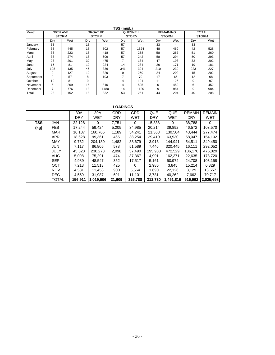| TSS (mg/L) |          |              |              |                  |              |          |     |                  |              |     |
|------------|----------|--------------|--------------|------------------|--------------|----------|-----|------------------|--------------|-----|
| Month      | 30TH AVE |              |              | <b>GROAT RD.</b> |              | QUESNELL |     | <b>REMAINING</b> | <b>TOTAL</b> |     |
|            |          | <b>STORM</b> | <b>STORM</b> |                  | <b>STORM</b> |          |     | <b>STORM</b>     | <b>STORM</b> |     |
|            | Dry      | Wet          | Dry          | Wet              | Dry          | Wet      | Drv | Wet              | Drv          | Wet |
| January    | 33       |              | 18           |                  | 57           |          | 33  |                  | 33           |     |
| February   | 33       | 445          | 18           | 502              | 57           | 1524     | 48  | 469              | 42           | 528 |
| March      | 33       | 223          | 18           | 418              | 57           | 258      | 58  | 267              | 51           | 260 |
| April      | 33       | 274          | 18           | 609              | 57           | 242      | 58  | 294              | 50           | 293 |
| May        | 23       | 201          | 32           | 475              | 7            | 184      | 47  | 198              | 32           | 202 |
| June       | 15       | 81           | 19           | 224              | 14           | 284      | 26  | 171              | 19           | 181 |
| July       | 108      | 135          | 45           | 336              | 341          | 324      | 210 | 230              | 223          | 227 |
| August     | 9        | 127          | 10           | 329              | 9            | 250      | 24  | 202              | 15           | 202 |
| September  | 9        | 57           | 8            | 103              |              | 79       | 17  | 66               | 12           | 68  |
| October    | 10       | 81           | 9            |                  | 4            | 121      | 11  | 125              | 9            | 97  |
| November   | 6        | 269          | 15           | 810              | 4            | 595      | 6   | 452              | 6            | 452 |
| December   | 7        | 776          | 13           | 1480             | 14           | 1120     | 9   | 984              | 9            | 984 |
| Total      | 23       | 152          | 18           | 332              | 53           | 261      | 44  | 204              | 40           | 208 |

#### **LOADINGS**

|            |            | 30A        | 30A       | <b>GRD</b> | <b>GRD</b> | QUE        | <b>QUE</b> | <b>REMAIN</b> | <b>REMAIN</b> |
|------------|------------|------------|-----------|------------|------------|------------|------------|---------------|---------------|
|            |            | <b>DRY</b> | WET       | <b>DRY</b> | WET        | <b>DRY</b> | WET        | <b>DRY</b>    | WET           |
| <b>TSS</b> | <b>JAN</b> | 22.128     | $\Omega$  | 7.751      | $\Omega$   | 15,838     | $\Omega$   | 38.788        | $\Omega$      |
| (kg)       | <b>FEB</b> | 17.244     | 59,424    | 5,205      | 34,985     | 20.214     | 39,892     | 46.572        | 103,570       |
|            | <b>MAR</b> | 10.187     | 160,766   | 1,189      | 54.241     | 21,363     | 130,504    | 43.444        | 277,474       |
|            | APR.       | 18,628     | 99,361    | 465        | 38,254     | 29,410     | 63,930     | 58,047        | 154,102       |
|            | MAY        | 9.732      | 204.180   | 1,482      | 38.679     | 3.913      | 144.941    | 54.511        | 349,450       |
|            | JUN        | 7.117      | 86,805    | 578        | 51,589     | 7,446      | 320.445    | 16.111        | 292,052       |
|            | JULY       | 45,523     | 230,273   | 2,098      | 37,490     | 195,938    | 472,529    | 186,170       | 476,029       |
|            | <b>AUG</b> | 5.008      | 75,291    | 474        | 37.367     | 4.991      | 162.371    | 22,635        | 178.720       |
|            | <b>SEP</b> | 4.989      | 48,547    | 352        | 17.517     | 5,161      | 50.974     | 24,708        | 103,158       |
|            | OCT        | 7,213      | 11,513    | 425        | 0          | 2,986      | 3,845      | 15,214        | 6,829         |
|            | <b>NOV</b> | 4.581      | 11,458    | 900        | 5.564      | 1.690      | 22.126     | 3.129         | 13,557        |
|            | <b>DEC</b> | 4,559      | 31,987    | 691        | 11,101     | 3,781      | 40,262     | 7,662         | 70,717        |
|            | TOTAL      | 156,911    | 1,019,606 | 21,609     | 326,788    | 312,730    | 1,451,819  | 516,992       | 2,025,658     |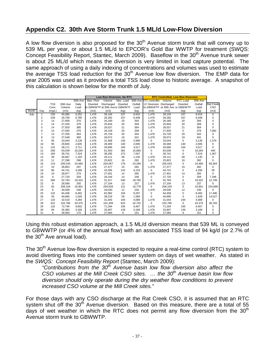## **Appendix C2. 30th Ave Storm Trunk 1.5 ML/d Low-Flow Diversion**

A low flow diversion is also proposed for the  $30<sup>th</sup>$  Avenue storm trunk that will convey up to 539 ML per year, or about 1.5 ML/d to EPCOR's Gold Bar WWTP for treatment (SWQS: Concept Feasibility Report, Stantec, March 2009). Baseflow in the 30<sup>th</sup> Avenue trunk sewer is about 25 ML/d which means the diversion is very limited in load capture potential. The same approach of using a daily indexing of concentrations and volumes was used to estimate the average TSS load reduction for the  $30<sup>th</sup>$  Avenue low flow diversion. The EMP data for year 2005 was used as it provides a total TSS load close to historic average. A snapshot of this calculation is shown below for the month of July.

|       |                |            |          |          | <b>Low-flow Diversion, No RTC</b> |                                 |           | <b>RTC Controlled, Low-flow Diversion</b> |                                |         |                                 |          |                  |
|-------|----------------|------------|----------|----------|-----------------------------------|---------------------------------|-----------|-------------------------------------------|--------------------------------|---------|---------------------------------|----------|------------------|
|       |                |            |          | 30th Ave | Max. Flow                         | Volume                          | Max. Load |                                           | 30th Ave RTC controller Volume |         | <b>RTC Load</b>                 | 30th Ave |                  |
|       |                | <b>TSS</b> | 30th Ave | Daily    | Diverted                          | Discharged                      | Diverted  | Outfall                                   | LF Diversion Discharged        |         | Diverted                        | Outfall  | <b>Rat Creek</b> |
|       |                | Conc.      | Volume   | Load     |                                   | to GBWWTP at 30th Ave to GBWWTF |           | Load                                      |                                |         | to GBWWTP at 30th Ave to GBWWTP | Load     | <b>CSO</b>       |
| Month | Day            | (mq/L)     | (m3)     | (kg)     | (m3)                              | (m3)                            | (kg)      | (kg)                                      | (m3)                           | (m3)    | (kg)                            | (kg)     | (m3)             |
| July  | 1              | 228        | 40,580   | 9,252    | 1,476                             | 39,104                          | 337       | 8,916                                     | 1,476                          | 39,104  | 337                             | 8,916    | 0                |
|       | $\overline{2}$ | 228        | 29,758   | 6,785    | 1,476                             | 28,282                          | 337       | 6,448                                     | 1,476                          | 28,282  | 337                             | 6,448    | 0                |
|       | 3              | 14         | 27,656   | 376      | 1,476                             | 26,180                          | 20        | 356                                       | 1,476                          | 26,180  | 20                              | 356      | 0                |
|       | 4              | 14         | 27,420   | 378      | 1,476                             | 25,944                          | 20        | 358                                       | 1,476                          | 25,944  | 20                              | 358      | 0                |
|       | 5              | 14         | 27,503   | 385      | 1,476                             | 26,027                          | 21        | 364                                       | 1,476                          | 26,027  | 21                              | 364      | $\Omega$         |
|       | 6              | 14         | 27,635   | 378      | 1,476                             | 26,159                          | 20        | 358                                       | 0                              | 27,635  | 0                               | 378      | 7,082            |
|       | $\overline{7}$ | 13         | 27,205   | 364      | 1,476                             | 25,729                          | 20        | 344                                       | 1,476                          | 25,729  | 20                              | 344      | 0                |
|       | 8              | 13         | 27,548   | 360      | 1,476                             | 26,072                          | 19        | 341                                       | 1,476                          | 26,072  | 19                              | 341      | $\Omega$         |
|       | 9              | 95         | 33.044   | 3,139    | 1,476                             | 31,568                          | 140       | 2,999                                     | 0                              | 33,044  | 0                               | 3,139    | 1,379            |
|       | 10             | 95         | 29.845   | 2,835    | 1,476                             | 28,369                          | 140       | 2,695                                     | 1,476                          | 28,369  | 140                             | 2,695    | 0                |
|       | 11             | 132        | 28,171   | 3,711    | 1,476                             | 26,695                          | 194       | 3,517                                     | 1,476                          | 26,695  | 194                             | 3,517    | 0                |
|       | 12             | 258        | 63,039   | 16,264   | 1,476                             | 61,563                          | 381       | 15,883                                    | 0                              | 63,039  | 0                               | 16,264   | 440              |
|       | 13             | 184        | 39,741   | 7,319    | 1,476                             | 38,265                          | 272       | 7,047                                     | 0                              | 39,741  | 0                               | 7,319    | 1,367            |
|       | 14             | 39         | 30,587   | 1,193    | 1,476                             | 29,111                          | 58        | 1,135                                     | 1,476                          | 29,111  | 58                              | 1,135    | 0                |
|       | 15             | 11         | 27,298   | 298      | 1,476                             | 25,822                          | 16        | 282                                       | 1,476                          | 25,822  | 16                              | 282      | $\Omega$         |
|       | 16             | 119        | 205,543  | 24,460   | 1,476                             | 204,067                         | 176       | 24,284                                    | 0                              | 205,543 | 0                               | 24,460   | 83,364           |
|       | 17             | 10         | 28,853   | 297      | 1,476                             | 27,377                          | 15        | 282                                       | 1,476                          | 27,377  | 15                              | 282      | 0                |
|       | 18             | 96         | 44,741   | 4,295    | 1,476                             | 43,265                          | 142       | 4,153                                     | 0                              | 44,741  | $\mathbf 0$                     | 4,295    | 28               |
|       | 19             | 10         | 28,877   | 279      | 1,476                             | 27,401                          | 14        | 265                                       | 1,476                          | 27,401  | 14                              | 265      | $\Omega$         |
|       | 20             | 9          | 27.720   | 259      | 1,476                             | 26,244                          | 14        | 246                                       | 0                              | 27,720  | 0                               | 259      | 7,346            |
|       | 21             | 366        | 52,793   | 19,322   | 1,476                             | 51,317                          | 540       | 18,782                                    | $\Omega$                       | 52,793  | 0                               | 19,322   | 12,709           |
|       | 22             | 9          | 28.580   | 250      | 1,476                             | 27,104                          | 13        | 237                                       | 1,476                          | 27,104  | 13                              | 237      | $\Omega$         |
|       | 23             | 82         | 206,104  | 16,901   | 1,476                             | 204,628                         | 121       | 16,779                                    | 0                              | 206,104 | 0                               | 16,901   | 154,699          |
|       | 24             | 8          | 30,506   | 248      | 1,476                             | 29,030                          | 12        | 236                                       | 1,476                          | 29,030  | 12                              | 236      | $\Omega$         |
|       | 25             | 132        | 64.458   | 8,492    | 1,476                             | 62,982                          | 194       | 8,297                                     | 0                              | 64,458  | $\mathsf 0$                     | 8,492    | 17,490           |
|       | 26             | 40         | 40,695   | 1,628    | 1,476                             | 39,219                          | 59        | 1,569                                     | 0                              | 40,695  | 0                               | 1,628    | 14,527           |
|       | 27             | 132        | 32,519   | 4,284    | 1,476                             | 31,043                          | 194       | 4,089                                     | 1,476                          | 31,043  | 194                             | 4,089    | $\Omega$         |
|       | 28             | 422        | 102,785  | 43,375   | 1,476                             | 101,309                         | 623       | 42,752                                    | 0                              | 102,785 | $\mathbf 0$                     | 43,375   | 36,783           |
|       | 29             | 132        | 72,740   | 9,602    | 1,476                             | 71,264                          | 195       | 9,407                                     | 1,476                          | 71,264  | 195                             | 9,407    | 0                |
|       | 30             | 94         | 35,383   | 3,328    | 1,476                             | 33,907                          | 139       | 3,189                                     | 1,476                          | 33,907  | 139                             | 3,189    | 0                |
|       | 31             | 6          | 28,560   | 170      | 1,476                             | 27,084                          | 9         | 161                                       | 1,476                          | 27,084  | 9                               | 161      | 0                |

Using this robust estimation approach, a 1.5 ML/d diversion means that 539 ML is conveyed to GBWWTP (or 4% of the annual flow) with an associated TSS load of 94 kg/d (or 2.7% of the  $30<sup>th</sup>$  Ave annual load).

The  $30<sup>th</sup>$  Avenue low-flow diversion is expected to require a real-time control (RTC) system to avoid diverting flows into the combined sewer system on days of wet weather. As stated in the *SWQS: Concept Feasibility Report* (Stantec, March 2009):

*"Contributions from the 30th Avenue basin low flow diversion also affect the CSO volumes at the Mill Creek CSO sites. ... the 30<sup>th</sup> Avenue basin low flow diversion should only operate during the dry weather flow conditions to prevent increased CSO volume at the Mill Creek sites."* 

For those days with any CSO discharge at the Rat Creek CSO, it is assumed that an RTC system shut off the  $30<sup>th</sup>$  Avenue diversion. Based on this measure, there are a total of 55 days of wet weather in which the RTC does not permit any flow diversion from the  $30<sup>th</sup>$ Avenue storm trunk to GBWWTP.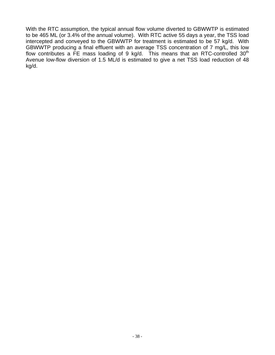With the RTC assumption, the typical annual flow volume diverted to GBWWTP is estimated to be 465 ML (or 3.4% of the annual volume). With RTC active 55 days a year, the TSS load intercepted and conveyed to the GBWWTP for treatment is estimated to be 57 kg/d. With GBWWTP producing a final effluent with an average TSS concentration of 7 mg/L, this low flow contributes a FE mass loading of 9 kg/d. This means that an RTC-controlled  $30<sup>th</sup>$ Avenue low-flow diversion of 1.5 ML/d is estimated to give a net TSS load reduction of 48 kg/d.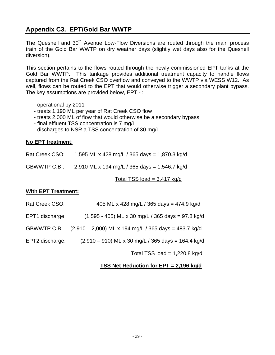## **Appendix C3. EPT/Gold Bar WWTP**

The Quesnell and 30<sup>th</sup> Avenue Low-Flow Diversions are routed through the main process train of the Gold Bar WWTP on dry weather days (slightly wet days also for the Quesnell diversion).

This section pertains to the flows routed through the newly commissioned EPT tanks at the Gold Bar WWTP. This tankage provides additional treatment capacity to handle flows captured from the Rat Creek CSO overflow and conveyed to the WWTP via WESS W12. As well, flows can be routed to the EPT that would otherwise trigger a secondary plant bypass. The key assumptions are provided below, EPT - :

- operational by 2011
- treats 1,190 ML per year of Rat Creek CSO flow
- treats 2,000 ML of flow that would otherwise be a secondary bypass
- final effluent TSS concentration is 7 mg/L
- discharges to NSR a TSS concentration of 30 mg/L.

#### **No EPT treatment**:

| Rat Creek CSO: | 1,595 ML x 428 mg/L / 365 days = 1,870.3 kg/d |  |
|----------------|-----------------------------------------------|--|
|                |                                               |  |

GBWWTP C.B.: 2,910 ML x 194 mg/L / 365 days = 1,546.7 kg/d

Total TSS load  $= 3,417$  kg/d

#### **With EPT Treatment:**

| Rat Creek CSO:  | 405 ML x 428 mg/L / 365 days = 474.9 kg/d               |
|-----------------|---------------------------------------------------------|
| EPT1 discharge  | $(1,595 - 405)$ ML x 30 mg/L / 365 days = 97.8 kg/d     |
| GBWWTP C.B.     | $(2,910 - 2,000)$ ML x 194 mg/L / 365 days = 483.7 kg/d |
| EPT2 discharge: | $(2,910 - 910)$ ML x 30 mg/L / 365 days = 164.4 kg/d    |
|                 | Total TSS load = $1,220.8$ kg/d                         |

#### **TSS Net Reduction for EPT = 2,196 kg/d**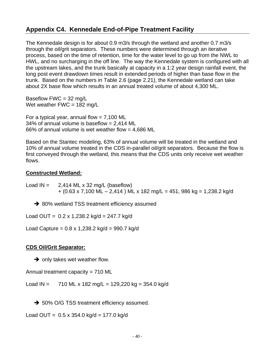## **Appendix C4. Kennedale End-of-Pipe Treatment Facility**

The Kennedale design is for about 0.9 m3/s through the wetland and another 0.7 m3/s through the oil/grit separators. These numbers were determined through an iterative process, based on the time of retention, time for the water level to go up from the NWL to HWL, and no surcharging in the off line. The way the Kennedale system is configured with all the upstream lakes, and the trunk basically at capacity in a 1:2 year design rainfall event, the long post event drawdown times result in extended periods of higher than base flow in the trunk. Based on the numbers in Table 2.6 (page 2.21), the Kennedale wetland can take about 2X base flow which results in an annual treated volume of about 4,300 ML.

Baseflow FWC = 32 mg/L Wet weather  $FWC = 182$  mg/L

For a typical year, annual flow  $= 7,100$  ML 34% of annual volume is baseflow = 2,414 ML 66% of annual volume is wet weather flow = 4,686 ML

Based on the Stantec modeling, 63% of annual volume will be treated in the wetland and 10% of annual volume treated in the CDS in-parallel oil/grit separators. Because the flow is first conveyed through the wetland, this means that the CDS units only receive wet weather flows.

#### **Constructed Wetland:**

Load  $IN = 2,414 ML \times 32$  mg/L (baseflow)  $+$  (0.63 x 7,100 ML – 2,414 ) ML x 182 mg/L = 451, 986 kg = 1,238.2 kg/d

**→ 80% wetland TSS treatment efficiency assumed** 

Load OUT =  $0.2 \times 1,238.2 \text{ kg/d} = 247.7 \text{ kg/d}$ 

Load Capture =  $0.8 \times 1,238.2 \text{ kg/d} = 990.7 \text{ kg/d}$ 

#### **CDS Oil/Grit Separator:**

 $\rightarrow$  only takes wet weather flow.

Annual treatment capacity = 710 ML

Load IN =  $710$  ML x 182 mg/L = 129,220 kg = 354.0 kg/d

→ 50% O/G TSS treatment efficiency assumed.

Load OUT =  $0.5 \times 354.0 \text{ kg/d} = 177.0 \text{ kg/d}$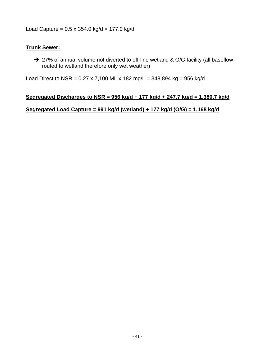Load Capture = 0.5 x 354.0 kg/d = 177.0 kg/d

#### **Trunk Sewer:**

→ 27% of annual volume not diverted to off-line wetland & O/G facility (all baseflow routed to wetland therefore only wet weather)

Load Direct to NSR =  $0.27 \times 7,100$  ML  $\times$  182 mg/L = 348,894 kg = 956 kg/d

#### **Segregated Discharges to NSR = 956 kg/d + 177 kg/d + 247.7 kg/d = 1,380.7 kg/d**

#### **Segregated Load Capture = 991 kg/d (wetland) + 177 kg/d (O/G) = 1,168 kg/d**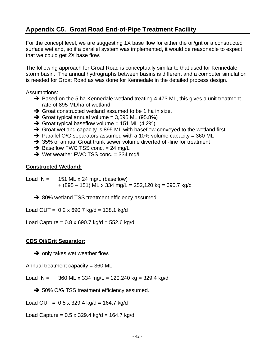## **Appendix C5. Groat Road End-of-Pipe Treatment Facility**

For the concept level, we are suggesting 1X base flow for either the oil/grit or a constructed surface wetland, so if a parallel system was implemented, it would be reasonable to expect that we could get 2X base flow.

The following approach for Groat Road is conceptually similar to that used for Kennedale storm basin. The annual hydrographs between basins is different and a computer simulation is needed for Groat Road as was done for Kennedale in the detailed process design.

#### Assumptions:

- $\rightarrow$  Based on the 5 ha Kennedale wetland treating 4,473 ML, this gives a unit treatment rate of 895 ML/ha of wetland
- $\rightarrow$  Groat constructed wetland assumed to be 1 ha in size.
- $\rightarrow$  Groat typical annual volume = 3,595 ML (95.8%)
- $\rightarrow$  Groat typical baseflow volume = 151 ML (4.2%)
- $\rightarrow$  Groat wetland capacity is 895 ML with baseflow conveyed to the wetland first.
- $\rightarrow$  Parallel O/G separators assumed with a 10% volume capacity = 360 ML
- → 35% of annual Groat trunk sewer volume diverted off-line for treatment
- $\rightarrow$  Baseflow FWC TSS conc. = 24 mg/L
- $\rightarrow$  Wet weather FWC TSS conc. = 334 mg/L

#### **Constructed Wetland:**

- Load  $IN = 151 ML \times 24 mg/L$  (baseflow)  $+$  (895 – 151) ML x 334 mg/L = 252,120 kg = 690.7 kg/d
	- **→ 80% wetland TSS treatment efficiency assumed**

Load OUT =  $0.2 \times 690.7 \text{ kg/d} = 138.1 \text{ kg/d}$ 

Load Capture =  $0.8 \times 690.7 \text{ kg/d} = 552.6 \text{ kg/d}$ 

#### **CDS Oil/Grit Separator:**

 $\rightarrow$  only takes wet weather flow.

Annual treatment capacity = 360 ML

Load IN =  $360$  ML x 334 mg/L = 120,240 kg = 329.4 kg/d

→ 50% O/G TSS treatment efficiency assumed.

Load OUT =  $0.5 \times 329.4 \text{ kg/d} = 164.7 \text{ kg/d}$ 

Load Capture = 0.5 x 329.4 kg/d = 164.7 kg/d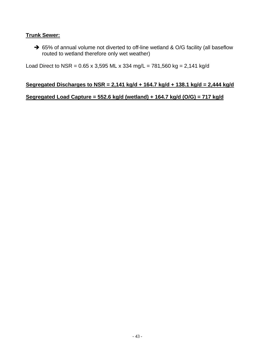#### **Trunk Sewer:**

→ 65% of annual volume not diverted to off-line wetland & O/G facility (all baseflow routed to wetland therefore only wet weather)

Load Direct to NSR =  $0.65 \times 3,595$  ML  $\times$  334 mg/L = 781,560 kg = 2,141 kg/d

#### **Segregated Discharges to NSR = 2,141 kg/d + 164.7 kg/d + 138.1 kg/d = 2,444 kg/d**

#### **Segregated Load Capture = 552.6 kg/d (wetland) + 164.7 kg/d (O/G) = 717 kg/d**